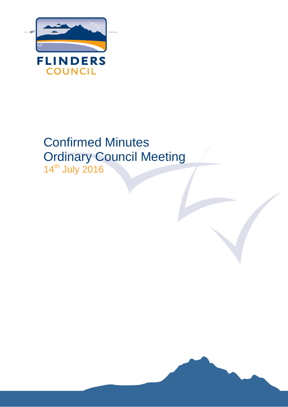

# Confirmed Minutes Ordinary Council Meeting 14th July 2016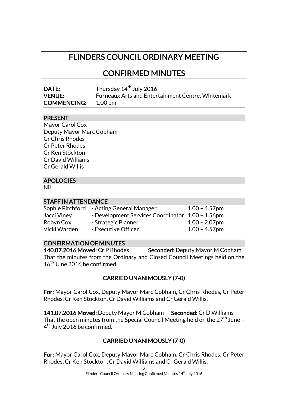# FLINDERS COUNCIL ORDINARY MEETING

CONFIRMED MINUTES

| DATE:              | Thursday 14 <sup>th</sup> July 2016                      |
|--------------------|----------------------------------------------------------|
| <b>VENUE:</b>      | <b>Furneaux Arts and Entertainment Centre, Whitemark</b> |
| <b>COMMENCING:</b> | 1.00 pm                                                  |

# **PRESENT**

| Mayor Carol Cox          |
|--------------------------|
| Deputy Mayor Marc Cobham |
| <b>Cr Chris Rhodes</b>   |
| Cr Peter Rhodes          |
| Cr Ken Stockton          |
| Cr David Williams        |
| Cr Gerald Willis         |
|                          |

# APOLOGIES

Nil

#### STAFF IN ATTENDANCE

| $1.00 - 4.57$ pm                                                                                                           |
|----------------------------------------------------------------------------------------------------------------------------|
|                                                                                                                            |
| $1.00 - 2.07$ pm                                                                                                           |
| $1.00 - 4.57$ pm                                                                                                           |
| - Acting General Manager<br>- Development Services Coordinator 1.00 - 1.56pm<br>- Strategic Planner<br>- Executive Officer |

# CONFIRMATION OF MINUTES

140.07.2016 Moved: Cr P Rhodes Seconded: Deputy Mayor M Cobham That the minutes from the Ordinary and Closed Council Meetings held on the 16<sup>th</sup> June 2016 be confirmed.

# CARRIED UNANIMOUSLY (7-0)

For: Mayor Carol Cox, Deputy Mayor Marc Cobham, Cr Chris Rhodes, Cr Peter Rhodes, Cr Ken Stockton, Cr David Williams and Cr Gerald Willis.

141.07.2016 Moved: Deputy Mayor M Cobham Seconded: Cr D Williams That the open minutes from the Special Council Meeting held on the  $27<sup>th</sup>$  June -4<sup>th</sup> July 2016 be confirmed.

# CARRIED UNANIMOUSLY (7-0)

For: Mayor Carol Cox, Deputy Mayor Marc Cobham, Cr Chris Rhodes, Cr Peter Rhodes, Cr Ken Stockton, Cr David Williams and Cr Gerald Willis.

2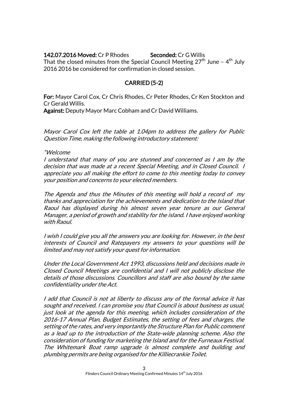142.07.2016 Moved: Cr P Rhodes Seconded: Cr G Willis That the closed minutes from the Special Council Meeting 27<sup>th</sup> June – 4<sup>th</sup> July 2016 2016 be considered for confirmation in closed session.

# CARRIED (5-2)

For: Mayor Carol Cox, Cr Chris Rhodes, Cr Peter Rhodes, Cr Ken Stockton and Cr Gerald Willis.

Against: Deputy Mayor Marc Cobham and Cr David Williams.

Mayor Carol Cox left the table at 1.04pm to address the gallery for Public Question Time, making the following introductory statement:

#### "Welcome

I understand that many of you are stunned and concerned as I am by the decision that was made at a recent Special Meeting, and in Closed Council. I appreciate you all making the effort to come to this meeting today to convey your position and concerns to your elected members.

The Agenda and thus the Minutes of this meeting will hold a record of my thanks and appreciation for the achievements and dedication to the Island that Raoul has displayed during his almost seven year tenure as our General Manager, a period of growth and stability for the island. I have enjoyed working with Raoul.

I wish I could give you all the answers you are looking for. However, in the best interests of Council and Ratepayers my answers to your questions will be limited and may not satisfy your quest for information.

Under the Local Government Act 1993, discussions held and decisions made in Closed Council Meetings are confidential and I will not publicly disclose the details of those discussions. Councillors and staff are also bound by the same confidentiality under the Act.

I add that Council is not at liberty to discuss any of the formal advice it has sought and received. I can promise you that Council is about business as usual, just look at the agenda for this meeting, which includes consideration of the 2016-17 Annual Plan, Budget Estimates, the setting of fees and charges, the setting of the rates, and very importantly the Structure Plan for Public comment as a lead up to the introduction of the State-wide planning scheme. Also the consideration of funding for marketing the Island and for the Furneaux Festival. The Whitemark Boat ramp upgrade is almost complete and building and plumbing permits are being organised for the Killiecrankie Toilet.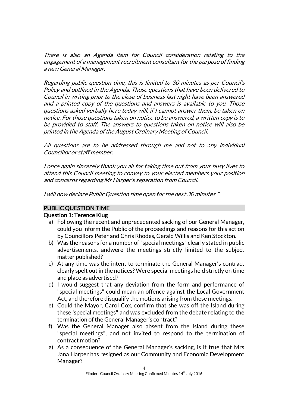There is also an Agenda item for Council consideration relating to the engagement of a management recruitment consultant for the purpose of finding a new General Manager.

Regarding public question time, this is limited to 30 minutes as per Council's Policy and outlined in the Agenda. Those questions that have been delivered to Council in writing prior to the close of business last night have been answered and a printed copy of the questions and answers is available to you. Those questions asked verbally here today will, if I cannot answer them, be taken on notice. For those questions taken on notice to be answered, a written copy is to be provided to staff. The answers to questions taken on notice will also be printed in the Agenda of the August Ordinary Meeting of Council.

All questions are to be addressed through me and not to any individual Councillor or staff member.

I once again sincerely thank you all for taking time out from your busy lives to attend this Council meeting to convey to your elected members your position and concerns regarding Mr Harper's separation from Council.

I will now declare Public Question time open for the next 30 minutes."

# PUBLIC QUESTION TIME

# Question 1: Terence Klug

- a) Following the recent and unprecedented sacking of our General Manager, could you inform the Public of the proceedings and reasons for this action by Councillors Peter and Chris Rhodes, Gerald Willis and Ken Stockton.
- b) Was the reasons for a number of "special meetings" clearly stated in public advertisements, andwere the meetings strictly limited to the subject matter published?
- c) At any time was the intent to terminate the General Manager's contract clearly spelt out in the notices? Were special meetings held strictly on time and place as advertised?
- d) I would suggest that any deviation from the form and performance of "special meetings" could mean an offence against the Local Government Act, and therefore disqualify the motions arising from these meetings.
- e) Could the Mayor, Carol Cox, confirm that she was off the Island during these 'special meetings" and was excluded from the debate relating to the termination of the General Manager's contract?
- f) Was the General Manager also absent from the Island during these "special meetings", and not invited to respond to the termination of contract motion?
- g) As a consequence of the General Manager's sacking, is it true that Mrs Jana Harper has resigned as our Community and Economic Development Manager?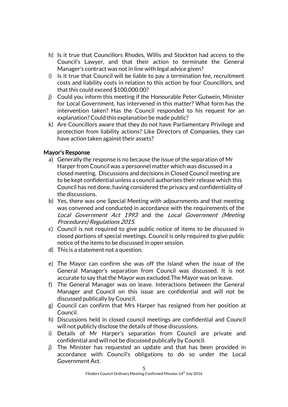- h) Is it true that Councillors Rhodes, Willis and Stockton had access to the Council's Lawyer, and that their action to terminate the General Manager's contract was not in line with legal advice given?
- i) Is it true that Council will be liable to pay a termination fee, recruitment costs and liability costs in relation to this action by four Councillors, and that this could exceed \$100,000.00?
- j) Could you inform this meeting if the Honourable Peter Gutwein, Minister for Local Government, has intervened in this matter? What form has the intervention taken? Has the Council responded to his request for an explanation? Could this explanation be made public?
- k) Are Councillors aware that they do not have Parliamentary Privilege and protection from liability actions? Like Directors of Companies, they can have action taken against their assets?

# Mayor's Response

- a) Generally the response is no because the issue of the separation of Mr Harper from Council was a personnel matter which was discussed in a closed meeting. Discussions and decisions in Closed Council meeting are to be kept confidential unless a council authorises their release which this Council has not done, having considered the privacy and confidentiality of the discussions.
- b) Yes, there was one Special Meeting with adjournments and that meeting was convened and conducted in accordance with the requirements of the Local Government Act 1993 and the Local Government (Meeting Procedures) Regulations 2015.
- c) Council is not required to give public notice of items to be discussed in closed portions of special meetings. Council is only required to give public notice of the items to be discussed in open session.
- d) This is a statement not a question.
- e) The Mayor can confirm she was off the Island when the issue of the General Manager's separation from Council was discussed. It is not accurate to say that the Mayor was excluded.The Mayor was on leave.
- f) The General Manager was on leave. Interactions between the General Manager and Council on this issue are confidential and will not be discussed publically by Council.
- g) Council can confirm that Mrs Harper has resigned from her position at Council.
- h) Discussions held in closed council meetings are confidential and Council will not publicly disclose the details of those discussions.
- i) Details of Mr Harper's separation from Council are private and confidential and will not be discussed publically by Council.
- j) The Minister has requested an update and that has been provided in accordance with Council's obligations to do so under the Local Government Act.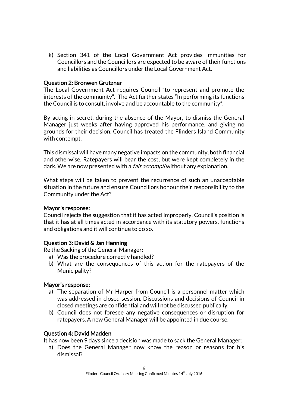k) Section 341 of the Local Government Act provides immunities for Councillors and the Councillors are expected to be aware of their functions and liabilities as Councillors under the Local Government Act.

#### Question 2: Bronwen Grutzner

The Local Government Act requires Council "to represent and promote the interests of the community". The Act further states "In performing its functions the Council is to consult, involve and be accountable to the community".

By acting in secret, during the absence of the Mayor, to dismiss the General Manager just weeks after having approved his performance, and giving no grounds for their decision, Council has treated the Flinders Island Community with contempt.

This dismissal will have many negative impacts on the community, both financial and otherwise. Ratepayers will bear the cost, but were kept completely in the dark. We are now presented with a *fait accompli* without any explanation.

What steps will be taken to prevent the recurrence of such an unacceptable situation in the future and ensure Councillors honour their responsibility to the Community under the Act?

#### Mayor's response:

Council rejects the suggestion that it has acted improperly. Council's position is that it has at all times acted in accordance with its statutory powers, functions and obligations and it will continue to do so.

# Question 3: David & Jan Henning

Re the Sacking of the General Manager:

- a) Was the procedure correctly handled?
- b) What are the consequences of this action for the ratepayers of the Municipality?

#### Mayor's response:

- a) The separation of Mr Harper from Council is a personnel matter which was addressed in closed session. Discussions and decisions of Council in closed meetings are confidential and will not be discussed publically.
- b) Council does not foresee any negative consequences or disruption for ratepayers. A new General Manager will be appointed in due course.

# Question 4: David Madden

It has now been 9 days since a decision was made to sack the General Manager:

a) Does the General Manager now know the reason or reasons for his dismissal?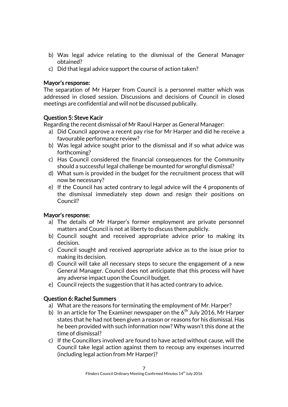- b) Was legal advice relating to the dismissal of the General Manager obtained?
- c) Did that legal advice support the course of action taken?

# Mayor's response:

The separation of Mr Harper from Council is a personnel matter which was addressed in closed session. Discussions and decisions of Council in closed meetings are confidential and will not be discussed publically.

# Question 5: Steve Kacir

Regarding the recent dismissal of Mr Raoul Harper as General Manager:

- a) Did Council approve a recent pay rise for Mr Harper and did he receive a favourable performance review?
- b) Was legal advice sought prior to the dismissal and if so what advice was forthcoming?
- c) Has Council considered the financial consequences for the Community should a successful legal challenge be mounted for wrongful dismissal?
- d) What sum is provided in the budget for the recruitment process that will now be necessary?
- e) If the Council has acted contrary to legal advice will the 4 proponents of the dismissal immediately step down and resign their positions on Council?

# Mayor's response:

- a) The details of Mr Harper's former employment are private personnel matters and Council is not at liberty to discuss them publicly.
- b) Council sought and received appropriate advice prior to making its decision.
- c) Council sought and received appropriate advice as to the issue prior to making its decision.
- d) Council will take all necessary steps to secure the engagement of a new General Manager. Council does not anticipate that this process will have any adverse impact upon the Council budget.
- e) Council rejects the suggestion that it has acted contrary to advice.

# Question 6: Rachel Summers

- a) What are the reasons for terminating the employment of Mr. Harper?
- b) In an article for The Examiner newspaper on the  $6<sup>th</sup>$  July 2016, Mr Harper states that he had not been given a reason or reasons for his dismissal. Has he been provided with such information now? Why wasn't this done at the time of dismissal?
- c) If the Councillors involved are found to have acted without cause, will the Council take legal action against them to recoup any expenses incurred (including legal action from Mr Harper)?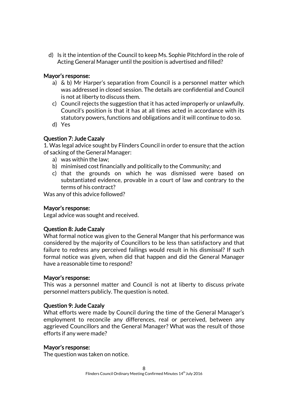d) Is it the intention of the Council to keep Ms. Sophie Pitchford in the role of Acting General Manager until the position is advertised and filled?

# Mayor's response:

- a) & b) Mr Harper's separation from Council is a personnel matter which was addressed in closed session. The details are confidential and Council is not at liberty to discuss them.
- c) Council rejects the suggestion that it has acted improperly or unlawfully. Council's position is that it has at all times acted in accordance with its statutory powers, functions and obligations and it will continue to do so.
- d) Yes

# Question 7: Jude Cazaly

1. Was legal advice sought by Flinders Council in order to ensure that the action of sacking of the General Manager:

- a) was within the law;
- b) minimised cost financially and politically to the Community; and
- c) that the grounds on which he was dismissed were based on substantiated evidence, provable in a court of law and contrary to the terms of his contract?

Was any of this advice followed?

#### Mayor's response:

Legal advice was sought and received.

# Question 8: Jude Cazaly

What formal notice was given to the General Manger that his performance was considered by the majority of Councillors to be less than satisfactory and that failure to redress any perceived failings would result in his dismissal? If such formal notice was given, when did that happen and did the General Manager have a reasonable time to respond?

#### Mayor's response:

This was a personnel matter and Council is not at liberty to discuss private personnel matters publicly. The question is noted.

#### Question 9: Jude Cazaly

What efforts were made by Council during the time of the General Manager's employment to reconcile any differences, real or perceived, between any aggrieved Councillors and the General Manager? What was the result of those efforts if any were made?

#### Mayor's response:

The question was taken on notice.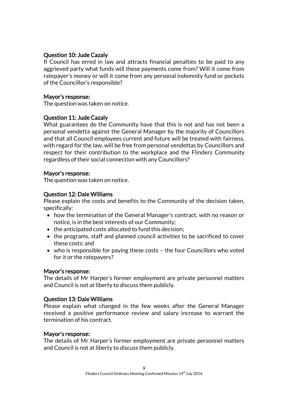# Question 10: Jude Cazaly

If Council has erred in law and attracts financial penalties to be paid to any aggrieved party what funds will these payments come from? Will it come from ratepayer's money or will it come from any personal indemnity fund or pockets of the Councillor's responsible?

### Mayor's response:

The question was taken on notice.

# Question 11: Jude Cazaly

What guarantees do the Community have that this is not and has not been a personal vendetta against the General Manager by the majority of Councillors and that all Council employees current and future will be treated with fairness, with regard for the law, will be free from personal vendettas by Councillors and respect for their contribution to the workplace and the Flinders Community regardless of their social connection with any Councillors?

# Mayor's response:

The question was taken on notice.

# Question 12: Dale Williams

Please explain the costs and benefits to the Community of the decision taken, specifically:

- how the termination of the General Manager's contract, with no reason or notice, is in the best interests of our Community;
- the anticipated costs allocated to fund this decision;
- the programs, staff and planned council activities to be sacrificed to cover these costs; and
- who is responsible for paying these costs the four Councillors who voted for it or the ratepayers?

# Mayor's response:

The details of Mr Harper's former employment are private personnel matters and Council is not at liberty to discuss them publicly.

# Question 13: Dale Williams

Please explain what changed in the few weeks after the General Manager received a positive performance review and salary increase to warrant the termination of his contract.

# Mayor's response:

The details of Mr Harper's former employment are private personnel matters and Council is not at liberty to discuss them publicly.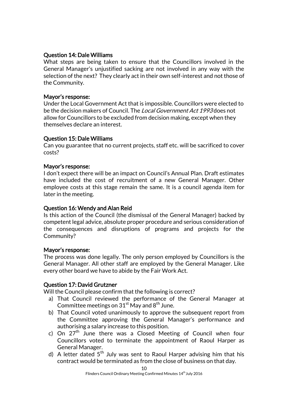### Question 14: Dale Williams

What steps are being taken to ensure that the Councillors involved in the General Manager's unjustified sacking are not involved in any way with the selection of the next? They clearly act in their own self-interest and not those of the Community.

### Mayor's response:

Under the Local Government Act that is impossible. Councillors were elected to be the decision makers of Council. The *Local Government Act 1993* does not allow for Councillors to be excluded from decision making, except when they themselves declare an interest.

# Question 15: Dale Williams

Can you guarantee that no current projects, staff etc. will be sacrificed to cover costs?

### Mayor's response:

I don't expect there will be an impact on Council's Annual Plan. Draft estimates have included the cost of recruitment of a new General Manager. Other employee costs at this stage remain the same. It is a council agenda item for later in the meeting.

# Question 16: Wendy and Alan Reid

Is this action of the Council (the dismissal of the General Manager) backed by competent legal advice, absolute proper procedure and serious consideration of the consequences and disruptions of programs and projects for the Community?

#### Mayor's response:

The process was done legally. The only person employed by Councillors is the General Manager. All other staff are employed by the General Manager. Like every other board we have to abide by the Fair Work Act.

# Question 17: David Grutzner

Will the Council please confirm that the following is correct?

- a) That Council reviewed the performance of the General Manager at Committee meetings on  $31<sup>st</sup>$  May and  $8<sup>th</sup>$  June.
- b) That Council voted unanimously to approve the subsequent report from the Committee approving the General Manager's performance and authorising a salary increase to this position.
- c) On  $27<sup>th</sup>$  June there was a Closed Meeting of Council when four Councillors voted to terminate the appointment of Raoul Harper as General Manager.
- d) A letter dated  $5<sup>th</sup>$  July was sent to Raoul Harper advising him that his contract would be terminated as from the close of business on that day.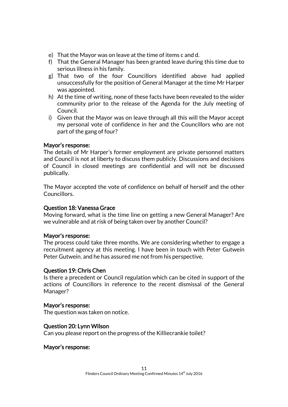- e) That the Mayor was on leave at the time of items c and d.
- f) That the General Manager has been granted leave during this time due to serious illness in his family.
- g) That two of the four Councillors identified above had applied unsuccessfully for the position of General Manager at the time Mr Harper was appointed.
- h) At the time of writing, none of these facts have been revealed to the wider community prior to the release of the Agenda for the July meeting of Council.
- i) Given that the Mayor was on leave through all this will the Mayor accept my personal vote of confidence in her and the Councillors who are not part of the gang of four?

### Mayor's response:

The details of Mr Harper's former employment are private personnel matters and Council is not at liberty to discuss them publicly. Discussions and decisions of Council in closed meetings are confidential and will not be discussed publically.

The Mayor accepted the vote of confidence on behalf of herself and the other Councillors.

# Question 18: Vanessa Grace

Moving forward, what is the time line on getting a new General Manager? Are we vulnerable and at risk of being taken over by another Council?

#### Mayor's response:

The process could take three months. We are considering whether to engage a recruitment agency at this meeting. I have been in touch with Peter Gutwein Peter Gutwein, and he has assured me not from his perspective.

#### Question 19: Chris Chen

Is there a precedent or Council regulation which can be cited in support of the actions of Councillors in reference to the recent dismissal of the General Manager?

#### Mayor's response:

The question was taken on notice.

#### Question 20: Lynn Wilson

Can you please report on the progress of the Killiecrankie toilet?

#### Mayor's response: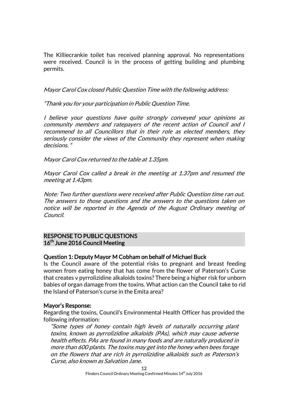The Killiecrankie toilet has received planning approval. No representations were received. Council is in the process of getting building and plumbing permits.

Mayor Carol Cox closed Public Question Time with the following address:

"Thank you for your participation in Public Question Time.

I believe your questions have quite strongly conveyed your opinions as community members and ratepayers of the recent action of Council and I recommend to all Councillors that in their role as elected members, they seriously consider the views of the Community they represent when making decisions. "

Mayor Carol Cox returned to the table at 1.35pm.

Mayor Carol Cox called a break in the meeting at 1.37pm and resumed the meeting at 1.43pm.

Note: Two further questions were received after Public Question time ran out. The answers to those questions and the answers to the questions taken on notice will be reported in the Agenda of the August Ordinary meeting of Council.

# RESPONSE TO PUBLIC QUESTIONS 16<sup>th</sup> June 2016 Council Meeting

# Question 1: Deputy Mayor M Cobham on behalf of Michael Buck

Is the Council aware of the potential risks to pregnant and breast feeding women from eating honey that has come from the flower of Paterson's Curse that creates v pyrrolizidine alkaloids toxins? There being a higher risk for unborn babies of organ damage from the toxins. What action can the Council take to rid the Island of Paterson's curse in the Emita area?

# Mayor's Response:

Regarding the toxins, Council's Environmental Health Officer has provided the following information:

"Some types of honey contain high levels of naturally occurring plant toxins, known as pyrrolizidine alkaloids (PAs), which may cause adverse health effects. PAs are found in many foods and are naturally produced in more than 600 plants. The toxins may get into the honey when bees forage on the flowers that are rich in pyrrolizidine alkaloids such as Paterson's Curse, also known as Salvation Jane.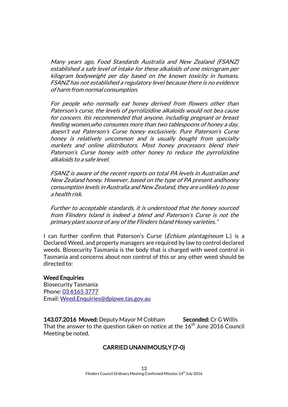Many years ago, Food Standards Australia and New Zealand (FSANZ) established a safe level of intake for these alkaloids of one microgram per kilogram bodyweight per day based on the known toxicity in humans. FSANZ has not established a regulatory level because there is no evidence of harm from normal consumption.

For people who normally eat honey derived from flowers other than Paterson's curse, the levels of pyrrolizidine alkaloids would not bea cause for concern. Itis recommended that anyone, including pregnant or breast feeding women,who consumes more than two tablespoons of honey a day, doesn't eat Paterson's Curse honey exclusively. Pure Paterson's Curse honey is relatively uncommon and is usually bought from specialty markets and online distributors. Most honey processors blend their Paterson's Curse honey with other honey to reduce the pyrrolizidine alkaloids to a safe level.

FSANZ is aware of the recent reports on total PA levels in Australian and New Zealand honey. However, based on the type of PA present andhoney consumption levels in Australia and New Zealand, they are unlikely to pose a health risk.

Further to acceptable standards, it is understood that the honey sourced from Flinders Island is indeed a blend and Paterson's Curse is not the primary plant source of any of the Flinders Island Honey varieties."

I can further confirm that Paterson's Curse (*Echium plantagineum* L.) is a Declared Weed, and property managers are required by law to control declared weeds. Biosecurity Tasmania is the body that is charged with weed control in Tasmania and concerns about non control of this or any other weed should be directed to:

#### **Weed Enquiries**

Biosecurity Tasmania Phone: [03 6165 3777](tel:03%206165%203777) Email[: Weed.Enquiries@dpipwe.tas.gov.au](mailto:Weed.Enquiries@dpipwe.tas.gov.au)

143.07.2016 Moved: Deputy Mayor M Cobham Seconded: Cr G Willis That the answer to the question taken on notice at the  $16<sup>th</sup>$  June 2016 Council Meeting be noted.

# CARRIED UNANIMOUSLY (7-0)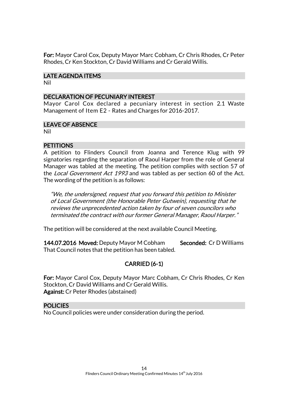For: Mayor Carol Cox, Deputy Mayor Marc Cobham, Cr Chris Rhodes, Cr Peter Rhodes, Cr Ken Stockton, Cr David Williams and Cr Gerald Willis.

# LATE AGENDA ITEMS

Nil

# DECLARATION OF PECUNIARY INTEREST

Mayor Carol Cox declared a pecuniary interest in section 2.1 Waste Management of Item E2 - Rates and Charges for 2016-2017.

# LEAVE OF ABSENCE

Nil

# **PETITIONS**

A petition to Flinders Council from Joanna and Terence Klug with 99 signatories regarding the separation of Raoul Harper from the role of General Manager was tabled at the meeting. The petition complies with section 57 of the Local Government Act 1993 and was tabled as per section 60 of the Act. The wording of the petition is as follows:

"We, the undersigned, request that you forward this petition to Minister of Local Government (the Honorable Peter Gutwein), requesting that he reviews the unprecedented action taken by four of seven councilors who terminated the contract with our former General Manager, Raoul Harper."

The petition will be considered at the next available Council Meeting.

144.07.2016 Moved: Deputy Mayor M Cobham Seconded: Cr D Williams That Council notes that the petition has been tabled.

# CARRIED (6-1)

For: Mayor Carol Cox, Deputy Mayor Marc Cobham, Cr Chris Rhodes, Cr Ken Stockton, Cr David Williams and Cr Gerald Willis. Against: Cr Peter Rhodes (abstained)

# POLICIES

No Council policies were under consideration during the period.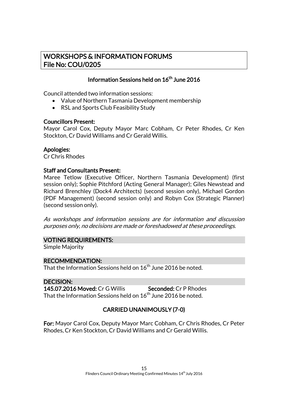# WORKSHOPS & INFORMATION FORUMS File No: COU/0205

# Information Sessions held on  $16^{\text{th}}$  June 2016

Council attended two information sessions:

- Value of Northern Tasmania Development membership
- RSL and Sports Club Feasibility Study

# Councillors Present:

Mayor Carol Cox, Deputy Mayor Marc Cobham, Cr Peter Rhodes, Cr Ken Stockton, Cr David Williams and Cr Gerald Willis.

# Apologies:

Cr Chris Rhodes

### Staff and Consultants Present:

Maree Tetlow (Executive Officer, Northern Tasmania Development) (first session only); Sophie Pitchford (Acting General Manager); Giles Newstead and Richard Brenchley (Dock4 Architects) (second session only), Michael Gordon (PDF Management) (second session only) and Robyn Cox (Strategic Planner) (second session only).

As workshops and information sessions are for information and discussion purposes only, no decisions are made or foreshadowed at these proceedings.

# VOTING REQUIREMENTS:

Simple Majority

# RECOMMENDATION:

That the Information Sessions held on  $16^{\rm th}$  June 2016 be noted.

# DECISION:

145.07.2016 Moved: Cr G Willis Seconded: Cr P Rhodes That the Information Sessions held on  $16^{\rm th}$  June 2016 be noted.

# CARRIED UNANIMOUSLY (7-0)

For: Mayor Carol Cox, Deputy Mayor Marc Cobham, Cr Chris Rhodes, Cr Peter Rhodes, Cr Ken Stockton, Cr David Williams and Cr Gerald Willis.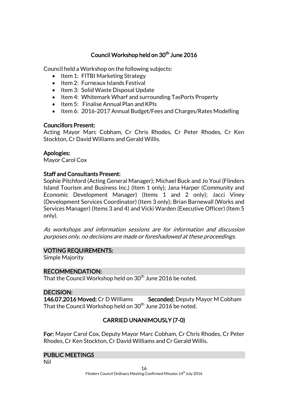# Council Workshop held on 30<sup>th</sup> June 2016

Council held a Workshop on the following subjects:

- Item 1: FITBI Marketing Strategy
- $\bullet$  Item 2: Furneaux Islands Festival
- Item 3: Solid Waste Disposal Update
- Item 4: Whitemark Wharf and surrounding TasPorts Property
- Item 5: Finalise Annual Plan and KPIs
- Item 6: 2016-2017 Annual Budget/Fees and Charges/Rates Modelling

# Councillors Present:

Acting Mayor Marc Cobham, Cr Chris Rhodes, Cr Peter Rhodes, Cr Ken Stockton, Cr David Williams and Gerald Willis.

# Apologies:

Mayor Carol Cox

# Staff and Consultants Present:

Sophie Pitchford (Acting General Manager); Michael Buck and Jo Youl (Flinders Island Tourism and Business Inc.) (Item 1 only); Jana Harper (Community and Economic Development Manager) (Items 1 and 2 only); Jacci Viney (Development Services Coordinator) (Item 3 only); Brian Barnewall (Works and Services Manager) (Items 3 and 4) and Vicki Warden (Executive Officer) (Item 5 only).

As workshops and information sessions are for information and discussion purposes only, no decisions are made or foreshadowed at these proceedings.

# VOTING REQUIREMENTS:

Simple Majority

# RECOMMENDATION:

That the Council Workshop held on 30<sup>th</sup> June 2016 be noted.

# DECISION:

146.07.2016 Moved: Cr D Williams Seconded: Deputy Mayor M Cobham That the Council Workshop held on 30<sup>th</sup> June 2016 be noted.

# CARRIED UNANIMOUSLY (7-0)

For: Mayor Carol Cox, Deputy Mayor Marc Cobham, Cr Chris Rhodes, Cr Peter Rhodes, Cr Ken Stockton, Cr David Williams and Cr Gerald Willis.

# PUBLIC MEETINGS

Nil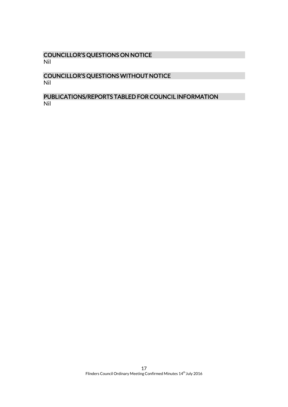# COUNCILLOR'S QUESTIONS ON NOTICE Nil

# COUNCILLOR'S QUESTIONS WITHOUT NOTICE Nil

# PUBLICATIONS/REPORTS TABLED FOR COUNCIL INFORMATION Nil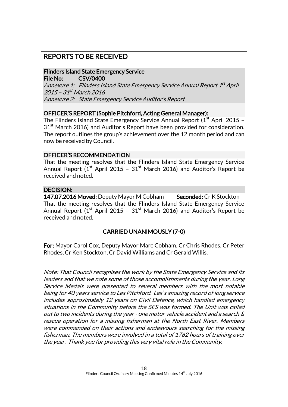# REPORTS TO BE RECEIVED

#### Flinders Island State Emergency Service File No: CSV/0400

<u>Annexure 1:</u> Flinders Island State Emergency Service Annual Report 1<sup>st</sup> April 2015 - 31<sup>st</sup> March 2016 Annexure 2: State Emergency Service Auditor's Report

# OFFICER'S REPORT (Sophie Pitchford, Acting General Manager):

The Flinders Island State Emergency Service Annual Report  $(1<sup>st</sup>$  April 2015 –  $31<sup>st</sup>$  March 2016) and Auditor's Report have been provided for consideration. The report outlines the group's achievement over the 12 month period and can now be received by Council.

# OFFICER'S RECOMMENDATION

That the meeting resolves that the Flinders Island State Emergency Service Annual Report ( $1<sup>st</sup>$  April 2015 –  $31<sup>st</sup>$  March 2016) and Auditor's Report be received and noted.

# DECISION:

147.07.2016 Moved: Deputy Mayor M Cobham Seconded: Cr K Stockton That the meeting resolves that the Flinders Island State Emergency Service Annual Report ( $1<sup>st</sup>$  April 2015 –  $31<sup>st</sup>$  March 2016) and Auditor's Report be received and noted.

# CARRIED UNANIMOUSLY (7-0)

For: Mayor Carol Cox, Deputy Mayor Marc Cobham, Cr Chris Rhodes, Cr Peter Rhodes, Cr Ken Stockton, Cr David Williams and Cr Gerald Willis.

Note: That Council recognises the work by the State Emergency Service and its leaders and that we note some of those accomplishments during the year. Long Service Medals were presented to several members with the most notable being for 40 years service to Les Pitchford. Les`s amazing record of long service includes approximately 12 years on Civil Defence, which handled emergency situations in the Community before the SES was formed. The Unit was called out to two incidents during the year - one motor vehicle accident and a search & rescue operation for a missing fisherman at the North East River. Members were commended on their actions and endeavours searching for the missing fisherman. The members were involved in a total of 1762 hours of training over the year. Thank you for providing this very vital role in the Community.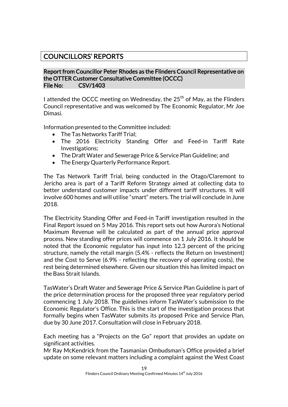# COUNCILLORS' REPORTS

### Report from Councillor Peter Rhodes as the Flinders Council Representative on the OTTER Customer Consultative Committee (OCCC) File No: CSV/1403

I attended the OCCC meeting on Wednesday, the  $25<sup>th</sup>$  of May, as the Flinders Council representative and was welcomed by The Economic Regulator, Mr Joe Dimasi.

Information presented to the Committee included:

- The Tas Networks Tariff Trial:
- The 2016 Electricity Standing Offer and Feed-in Tariff Rate Investigations;
- The Draft Water and Sewerage Price & Service Plan Guideline; and
- The Energy Quarterly Performance Report.

The Tas Network Tariff Trial, being conducted in the Otago/Claremont to Jericho area is part of a Tariff Reform Strategy aimed at collecting data to better understand customer impacts under different tariff structures. It will involve 600 homes and will utilise "smart" meters. The trial will conclude in June 2018.

The Electricity Standing Offer and Feed-in Tariff investigation resulted in the Final Report issued on 5 May 2016. This report sets out how Aurora's Notional Maximum Revenue will be calculated as part of the annual price approval process. New standing offer prices will commence on 1 July 2016. It should be noted that the Economic regulator has input into 12.3 percent of the pricing structure, namely the retail margin (5.4% - reflects the Return on Investment) and the Cost to Serve (6.9% - reflecting the recovery of operating costs), the rest being determined elsewhere. Given our situation this has limited impact on the Bass Strait Islands.

TasWater's Draft Water and Sewerage Price & Service Plan Guideline is part of the price determination process for the proposed three year regulatory period commencing 1 July 2018. The guidelines inform TasWater's submission to the Economic Regulator's Office. This is the start of the investigation process that formally begins when TasWater submits its proposed Price and Service Plan, due by 30 June 2017. Consultation will close in February 2018.

Each meeting has a "Projects on the Go" report that provides an update on significant activities.

Mr Ray McKendrick from the Tasmanian Ombudsman's Office provided a brief update on some relevant matters including a complaint against the West Coast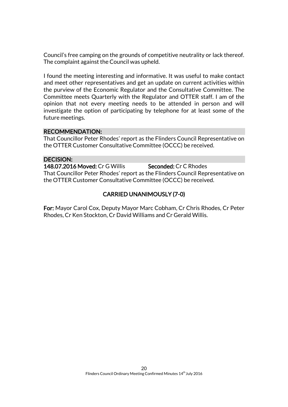Council's free camping on the grounds of competitive neutrality or lack thereof. The complaint against the Council was upheld.

I found the meeting interesting and informative. It was useful to make contact and meet other representatives and get an update on current activities within the purview of the Economic Regulator and the Consultative Committee. The Committee meets Quarterly with the Regulator and OTTER staff. I am of the opinion that not every meeting needs to be attended in person and will investigate the option of participating by telephone for at least some of the future meetings.

### RECOMMENDATION:

That Councillor Peter Rhodes' report as the Flinders Council Representative on the OTTER Customer Consultative Committee (OCCC) be received.

#### DECISION:

148.07.2016 Moved: Cr G Willis Seconded: Cr C Rhodes That Councillor Peter Rhodes' report as the Flinders Council Representative on the OTTER Customer Consultative Committee (OCCC) be received.

# CARRIED UNANIMOUSLY (7-0)

For: Mayor Carol Cox, Deputy Mayor Marc Cobham, Cr Chris Rhodes, Cr Peter Rhodes, Cr Ken Stockton, Cr David Williams and Cr Gerald Willis.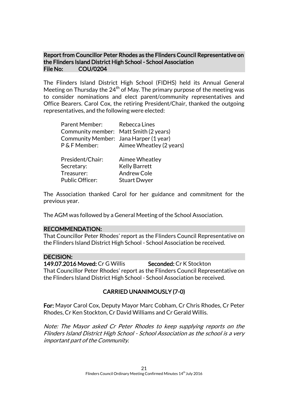# Report from Councillor Peter Rhodes as the Flinders Council Representative on the Flinders Island District High School - School Association File No: COU/0204

The Flinders Island District High School (FIDHS) held its Annual General Meeting on Thursday the  $24<sup>th</sup>$  of May. The primary purpose of the meeting was to consider nominations and elect parent/community representatives and Office Bearers. Carol Cox, the retiring President/Chair, thanked the outgoing representatives, and the following were elected:

| <b>Parent Member:</b>                  | Rebecca Lines            |
|----------------------------------------|--------------------------|
| Community member: Matt Smith (2 years) |                          |
| Community Member: Jana Harper (1 year) |                          |
| P & F Member:                          | Aimee Wheatley (2 years) |
| President/Chair:                       | Aimee Wheatley           |
| Secretary:                             | <b>Kelly Barrett</b>     |
| Treasurer:                             | <b>Andrew Cole</b>       |
| <b>Public Officer:</b>                 | <b>Stuart Dwyer</b>      |

The Association thanked Carol for her guidance and commitment for the previous year.

The AGM was followed by a General Meeting of the School Association.

#### RECOMMENDATION:

That Councillor Peter Rhodes' report as the Flinders Council Representative on the Flinders Island District High School - School Association be received.

#### DECISION:

149.07.2016 Moved: Cr G Willis Seconded: Cr K Stockton That Councillor Peter Rhodes' report as the Flinders Council Representative on the Flinders Island District High School - School Association be received.

# CARRIED UNANIMOUSLY (7-0)

For: Mayor Carol Cox, Deputy Mayor Marc Cobham, Cr Chris Rhodes, Cr Peter Rhodes, Cr Ken Stockton, Cr David Williams and Cr Gerald Willis.

Note: The Mayor asked Cr Peter Rhodes to keep supplying reports on the Flinders Island District High School - School Association as the school is a very important part of the Community.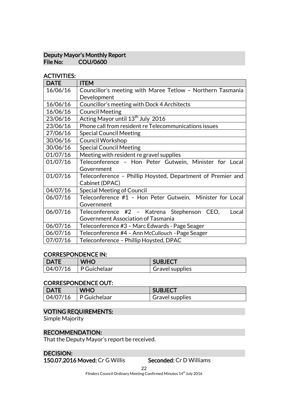### Deputy Mayor's Monthly Report<br>File No: COU/0600 COU/0600

# ACTIVITIES:

| <b>DATE</b> | <b>ITEM</b>                                                 |  |
|-------------|-------------------------------------------------------------|--|
| 16/06/16    | Councillor's meeting with Maree Tetlow - Northern Tasmania  |  |
|             | Development                                                 |  |
| 16/06/16    | Councillor's meeting with Dock 4 Architects                 |  |
| 16/06/16    | <b>Council Meeting</b>                                      |  |
| 23/06/16    | Acting Mayor until 13 <sup>th</sup> July 2016               |  |
| 23/06/16    | Phone call from resident re Telecommunications issues       |  |
| 27/06/16    | <b>Special Council Meeting</b>                              |  |
| 30/06/16    | <b>Council Workshop</b>                                     |  |
| 30/06/16    | <b>Special Council Meeting</b>                              |  |
| 01/07/16    | Meeting with resident re gravel supplies                    |  |
| 01/07/16    | Teleconference - Hon Peter Gutwein, Minister for Local      |  |
|             | Government                                                  |  |
| 01/07/16    | Teleconference - Phillip Hoysted, Department of Premier and |  |
|             | Cabinet (DPAC)                                              |  |
| 04/07/16    | <b>Special Meeting of Council</b>                           |  |
| 06/07/16    | Teleconference #1 - Hon Peter Gutwein, Minister for Local   |  |
|             | Government                                                  |  |
| 06/07/16    | Teleconference #2 - Katrena Stephenson<br>CEO.<br>Local     |  |
|             | Government Association of Tasmania                          |  |
| 06/07/16    | Teleconference #3 – Marc Edwards - Page Seager              |  |
| 06/07/16    | Teleconference #4 - Ann McCullouch - Page Seager            |  |
| 07/07/16    | Teleconference - Phillip Hoysted, DPAC                      |  |

#### CORRESPONDENCE IN:

| <b>DATE</b> | WHO          | <b>SUBJECT</b>  |
|-------------|--------------|-----------------|
| 04/07/16    | P Guichelaar | Gravel supplies |

### CORRESPONDENCE OUT:

| <b>DATE</b> | <b>WHO</b>          | <b>SUBJECT</b>         |
|-------------|---------------------|------------------------|
| 04/07/16    | $\mid$ P Guichelaar | <b>Gravel supplies</b> |

# VOTING REQUIREMENTS:

Simple Majority

# RECOMMENDATION:

That the Deputy Mayor's report be received.

# DECISION:

150.07.2016 Moved: Cr G Willis Seconded: Cr D Williams

22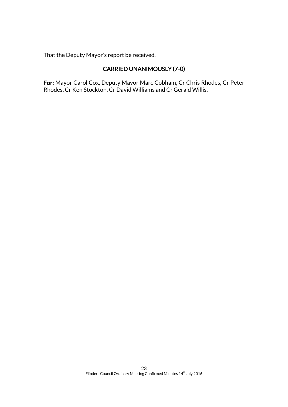That the Deputy Mayor's report be received.

# CARRIED UNANIMOUSLY (7-0)

For: Mayor Carol Cox, Deputy Mayor Marc Cobham, Cr Chris Rhodes, Cr Peter Rhodes, Cr Ken Stockton, Cr David Williams and Cr Gerald Willis.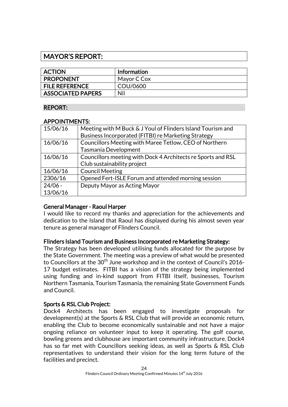# MAYOR'S REPORT:

| <b>ACTION</b>            | <b>Information</b> |
|--------------------------|--------------------|
| <b>PROPONENT</b>         | Mayor C Cox        |
| <b>FILE REFERENCE</b>    | COU/0600           |
| <b>ASSOCIATED PAPERS</b> | Nil                |

# REPORT:

# APPOINTMENTS:

| 15/06/16  | Meeting with M Buck & J Youl of Flinders Island Tourism and  |
|-----------|--------------------------------------------------------------|
|           | Business Incorporated (FITBI) re Marketing Strategy          |
| 16/06/16  | Councillors Meeting with Maree Tetlow, CEO of Northern       |
|           | Tasmania Development                                         |
| 16/06/16  | Councillors meeting with Dock 4 Architects re Sports and RSL |
|           | Club sustainability project                                  |
| 16/06/16  | <b>Council Meeting</b>                                       |
| 2306/16   | Opened Fert-ISLE Forum and attended morning session          |
| $24/06 -$ | Deputy Mayor as Acting Mayor                                 |
| 13/06/16  |                                                              |

# General Manager - Raoul Harper

I would like to record my thanks and appreciation for the achievements and dedication to the Island that Raoul has displayed during his almost seven year tenure as general manager of Flinders Council.

# Flinders Island Tourism and Business Incorporated re Marketing Strategy:

The Strategy has been developed utilising funds allocated for the purpose by the State Government. The meeting was a preview of what would be presented to Councillors at the  $30<sup>th</sup>$  June workshop and in the context of Council's 2016-17 budget estimates. FITBI has a vision of the strategy being implemented using funding and in-kind support from FITBI itself, businesses, Tourism Northern Tasmania, Tourism Tasmania, the remaining State Government Funds and Council.

# Sports & RSL Club Project:

Dock4 Architects has been engaged to investigate proposals for development(s) at the Sports & RSL Club that will provide an economic return, enabling the Club to become economically sustainable and not have a major ongoing reliance on volunteer input to keep it operating. The golf course, bowling greens and clubhouse are important community infrastructure. Dock4 has so far met with Councillors seeking ideas, as well as Sports & RSL Club representatives to understand their vision for the long term future of the facilities and precinct.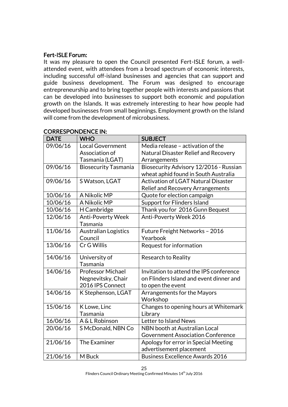# Fert-ISLE Forum:

It was my pleasure to open the Council presented Fert-ISLE forum, a wellattended event, with attendees from a broad spectrum of economic interests, including successful off-island businesses and agencies that can support and guide business development. The Forum was designed to encourage entrepreneurship and to bring together people with interests and passions that can be developed into businesses to support both economic and population growth on the Islands. It was extremely interesting to hear how people had developed businesses from small beginnings. Employment growth on the Island will come from the development of microbusiness.

| <b>DATE</b> | <b>WHO</b>                  | <b>SUBJECT</b>                             |
|-------------|-----------------------------|--------------------------------------------|
| 09/06/16    | <b>Local Government</b>     | Media release - activation of the          |
|             | Association of              | Natural Disaster Relief and Recovery       |
|             | Tasmania (LGAT)             | Arrangements                               |
| 09/06/16    | <b>Biosecurity Tasmania</b> | Biosecurity Advisory 12/2016 - Russian     |
|             |                             | wheat aphid found in South Australia       |
| 09/06/16    | S Watson, LGAT              | <b>Activation of LGAT Natural Disaster</b> |
|             |                             | Relief and Recovery Arrangements           |
| 10/06/16    | A Nikolic MP                | Quote for election campaign                |
| 10/06/16    | A Nikolic MP                | Support for Flinders Island                |
| 10/06/16    | H Cambridge                 | Thank you for 2016 Gunn Bequest            |
| 12/06/16    | Anti-Poverty Week           | Anti-Poverty Week 2016                     |
|             | Tasmania                    |                                            |
| 11/06/16    | <b>Australian Logistics</b> | Future Freight Networks - 2016             |
|             | Council                     | Yearbook                                   |
| 13/06/16    | Cr G Willis                 | Request for information                    |
| 14/06/16    | University of               | Research to Reality                        |
|             | Tasmania                    |                                            |
| 14/06/16    | <b>Professor Michael</b>    | Invitation to attend the IPS conference    |
|             | Negnevitsky, Chair          | on Flinders Island and event dinner and    |
|             | 2016 IPS Connect            | to open the event                          |
| 14/06/16    | K Stephenson, LGAT          | Arrangements for the Mayors                |
|             |                             | Workshop                                   |
| 15/06/16    | K Lowe, Linc                | Changes to opening hours at Whitemark      |
|             | Tasmania                    | Library                                    |
| 16/06/16    | A & L Robinson              | Letter to Island News                      |
| 20/06/16    | S McDonald, NBN Co          | NBN booth at Australian Local              |
|             |                             | <b>Government Association Conference</b>   |
| 21/06/16    | The Examiner                | Apology for error in Special Meeting       |
|             |                             | advertisement placement                    |
| 21/06/16    | M Buck                      | <b>Business Excellence Awards 2016</b>     |

# CORRESPONDENCE IN: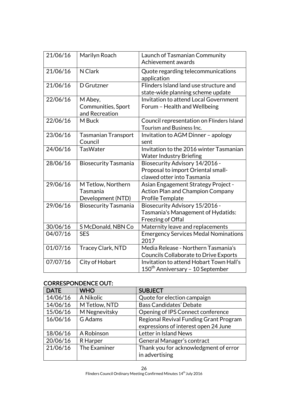| 21/06/16 | Marilyn Roach               | Launch of Tasmanian Community                |
|----------|-----------------------------|----------------------------------------------|
|          |                             | Achievement awards                           |
| 21/06/16 | N Clark                     | Quote regarding telecommunications           |
|          |                             | application                                  |
| 21/06/16 | D Grutzner                  | Flinders Island land use structure and       |
|          |                             | state-wide planning scheme update            |
| 22/06/16 | M Abey,                     | Invitation to attend Local Government        |
|          | Communities, Sport          | Forum - Health and Wellbeing                 |
|          | and Recreation              |                                              |
| 22/06/16 | M Buck                      | Council representation on Flinders Island    |
|          |                             | Tourism and Business Inc.                    |
| 23/06/16 | <b>Tasmanian Transport</b>  | Invitation to AGM Dinner - apology           |
|          | Council                     | sent                                         |
| 24/06/16 | <b>TasWater</b>             | Invitation to the 2016 winter Tasmanian      |
|          |                             | <b>Water Industry Briefing</b>               |
| 28/06/16 | <b>Biosecurity Tasmania</b> | Biosecurity Advisory 14/2016 -               |
|          |                             | Proposal to import Oriental small-           |
|          |                             | clawed otter into Tasmania                   |
| 29/06/16 | M Tetlow, Northern          | Asian Engagement Strategy Project -          |
|          | Tasmania                    | <b>Action Plan and Champion Company</b>      |
|          | Development (NTD)           | <b>Profile Template</b>                      |
| 29/06/16 | <b>Biosecurity Tasmania</b> | Biosecurity Advisory 15/2016 -               |
|          |                             | Tasmania's Management of Hydatids:           |
|          |                             | Freezing of Offal                            |
| 30/06/16 | S McDonald, NBN Co          | Maternity leave and replacements             |
| 04/07/16 | <b>SES</b>                  | <b>Emergency Services Medal Nominations</b>  |
|          |                             | 2017                                         |
| 01/07/16 | Tracey Clark, NTD           | Media Release - Northern Tasmania's          |
|          |                             | <b>Councils Collaborate to Drive Exports</b> |
| 07/07/16 | City of Hobart              | Invitation to attend Hobart Town Hall's      |
|          |                             | 150 <sup>th</sup> Anniversary - 10 September |

# CORRESPONDENCE OUT:

| <b>DATE</b> | <b>WHO</b>    | <b>SUBJECT</b>                         |
|-------------|---------------|----------------------------------------|
| 14/06/16    | A Nikolic     | Quote for election campaign            |
| 14/06/16    | M Tetlow, NTD | <b>Bass Candidates' Debate</b>         |
| 15/06/16    | M Negnevitsky | Opening of IPS Connect conference      |
| 16/06/16    | G Adams       | Regional Revival Funding Grant Program |
|             |               | expressions of interest open 24 June   |
| 18/06/16    | A Robinson    | Letter in Island News                  |
| 20/06/16    | R Harper      | General Manager's contract             |
| 21/06/16    | The Examiner  | Thank you for acknowledgment of error  |
|             |               | in advertising                         |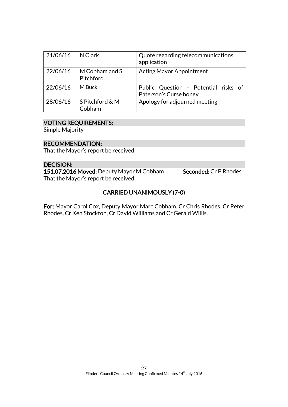| 21/06/16 | N Clark                     | Quote regarding telecommunications<br>application              |
|----------|-----------------------------|----------------------------------------------------------------|
| 22/06/16 | M Cobham and S<br>Pitchford | <b>Acting Mayor Appointment</b>                                |
| 22/06/16 | M Buck                      | Public Question - Potential risks of<br>Paterson's Curse honey |
| 28/06/16 | S Pitchford & M<br>Cobham   | Apology for adjourned meeting                                  |

# VOTING REQUIREMENTS:

Simple Majority

#### RECOMMENDATION:

That the Mayor's report be received.

#### DECISION:

151.07.2016 Moved: Deputy Mayor M Cobham Seconded: Cr P Rhodes That the Mayor's report be received.

# CARRIED UNANIMOUSLY (7-0)

For: Mayor Carol Cox, Deputy Mayor Marc Cobham, Cr Chris Rhodes, Cr Peter Rhodes, Cr Ken Stockton, Cr David Williams and Cr Gerald Willis.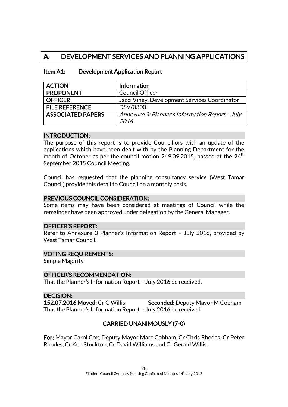# A. DEVELOPMENT SERVICES AND PLANNING APPLICATIONS

| <b>ACTION</b>            | <b>Information</b>                              |
|--------------------------|-------------------------------------------------|
| <b>PROPONENT</b>         | <b>Council Officer</b>                          |
| <b>OFFICER</b>           | Jacci Viney, Development Services Coordinator   |
| <b>FILE REFERENCE</b>    | DSV/0300                                        |
| <b>ASSOCIATED PAPERS</b> | Annexure 3: Planner's Information Report - July |
|                          | 2016                                            |

### Item A1: Development Application Report

#### INTRODUCTION:

The purpose of this report is to provide Councillors with an update of the applications which have been dealt with by the Planning Department for the month of October as per the council motion 249.09.2015, passed at the  $24<sup>th</sup>$ September 2015 Council Meeting.

Council has requested that the planning consultancy service (West Tamar Council) provide this detail to Council on a monthly basis.

### PREVIOUS COUNCIL CONSIDERATION:

Some items may have been considered at meetings of Council while the remainder have been approved under delegation by the General Manager.

#### OFFICER'S REPORT:

Refer to Annexure 3 Planner's Information Report – July 2016, provided by West Tamar Council.

#### VOTING REQUIREMENTS:

Simple Majority

#### OFFICER'S RECOMMENDATION:

That the Planner's Information Report – July 2016 be received.

#### DECISION:

152.07.2016 Moved: Cr G Willis Seconded: Deputy Mayor M Cobham That the Planner's Information Report – July 2016 be received.

# CARRIED UNANIMOUSLY (7-0)

For: Mayor Carol Cox, Deputy Mayor Marc Cobham, Cr Chris Rhodes, Cr Peter Rhodes, Cr Ken Stockton, Cr David Williams and Cr Gerald Willis.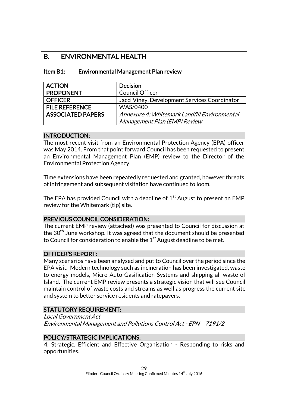# B. ENVIRONMENTAL HEALTH

| <b>ACTION</b>            | <b>Decision</b>                               |
|--------------------------|-----------------------------------------------|
| <b>PROPONENT</b>         | <b>Council Officer</b>                        |
| <b>OFFICER</b>           | Jacci Viney, Development Services Coordinator |
| <b>FILE REFERENCE</b>    | <b>WAS/0400</b>                               |
| <b>ASSOCIATED PAPERS</b> | Annexure 4: Whitemark Landfill Environmental  |
|                          | Management Plan (EMP) Review                  |

### Item B1: Environmental Management Plan review

#### INTRODUCTION:

The most recent visit from an Environmental Protection Agency (EPA) officer was May 2014. From that point forward Council has been requested to present an Environmental Management Plan (EMP) review to the Director of the Environmental Protection Agency.

Time extensions have been repeatedly requested and granted, however threats of infringement and subsequent visitation have continued to loom.

The EPA has provided Council with a deadline of  $1<sup>st</sup>$  August to present an EMP review for the Whitemark (tip) site.

# PREVIOUS COUNCIL CONSIDERATION:

The current EMP review (attached) was presented to Council for discussion at the 30<sup>th</sup> June workshop. It was agreed that the document should be presented to Council for consideration to enable the  $1<sup>st</sup>$  August deadline to be met.

#### OFFICER'S REPORT:

Many scenarios have been analysed and put to Council over the period since the EPA visit. Modern technology such as incineration has been investigated, waste to energy models, Micro Auto Gasification Systems and shipping all waste of Island. The current EMP review presents a strategic vision that will see Council maintain control of waste costs and streams as well as progress the current site and system to better service residents and ratepayers.

# STATUTORY REQUIREMENT:

Local Government Act

Environmental Management and Pollutions Control Act - EPN – 7191/2

# POLICY/STRATEGIC IMPLICATIONS:

4. Strategic, Efficient and Effective Organisation - Responding to risks and opportunities.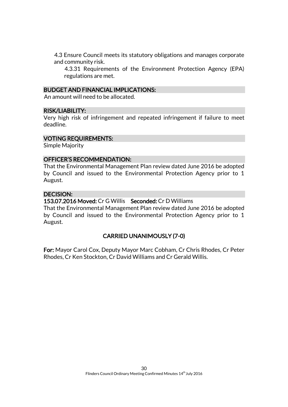4.3 Ensure Council meets its statutory obligations and manages corporate and community risk.

4.3.31 Requirements of the Environment Protection Agency (EPA) regulations are met.

#### BUDGET AND FINANCIAL IMPLICATIONS:

An amount will need to be allocated.

#### RISK/LIABILITY:

Very high risk of infringement and repeated infringement if failure to meet deadline.

#### VOTING REQUIREMENTS:

Simple Majority

#### OFFICER'S RECOMMENDATION:

That the Environmental Management Plan review dated June 2016 be adopted by Council and issued to the Environmental Protection Agency prior to 1 August.

#### DECISION:

153.07.2016 Moved: Cr G Willis Seconded: Cr D Williams

That the Environmental Management Plan review dated June 2016 be adopted by Council and issued to the Environmental Protection Agency prior to 1 August.

#### CARRIED UNANIMOUSLY (7-0)

For: Mayor Carol Cox, Deputy Mayor Marc Cobham, Cr Chris Rhodes, Cr Peter Rhodes, Cr Ken Stockton, Cr David Williams and Cr Gerald Willis.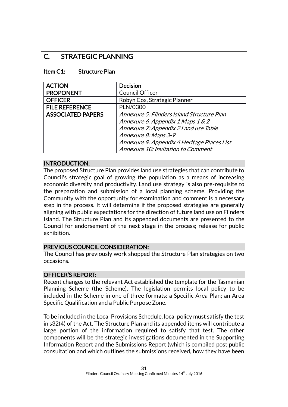# C. STRATEGIC PLANNING

#### Item C1: Structure Plan

| <b>ACTION</b>            | <b>Decision</b>                             |
|--------------------------|---------------------------------------------|
| <b>PROPONENT</b>         | <b>Council Officer</b>                      |
| <b>OFFICER</b>           | Robyn Cox, Strategic Planner                |
| <b>FILE REFERENCE</b>    | PLN/0300                                    |
| <b>ASSOCIATED PAPERS</b> | Annexure 5: Flinders Island Structure Plan  |
|                          | Annexure 6: Appendix 1 Maps 1 & 2           |
|                          | Annexure 7: Appendix 2 Land use Table       |
|                          | Annexure 8: Maps 3-9                        |
|                          | Annexure 9: Appendix 4 Heritage Places List |
|                          | Annexure 10: Invitation to Comment          |

#### INTRODUCTION:

The proposed Structure Plan provides land use strategies that can contribute to Council's strategic goal of growing the population as a means of increasing economic diversity and productivity. Land use strategy is also pre-requisite to the preparation and submission of a local planning scheme. Providing the Community with the opportunity for examination and comment is a necessary step in the process. It will determine if the proposed strategies are generally aligning with public expectations for the direction of future land use on Flinders Island. The Structure Plan and its appended documents are presented to the Council for endorsement of the next stage in the process; release for public exhibition.

#### PREVIOUS COUNCIL CONSIDERATION:

The Council has previously work shopped the Structure Plan strategies on two occasions.

#### OFFICER'S REPORT:

Recent changes to the relevant Act established the template for the Tasmanian Planning Scheme (the Scheme). The legislation permits local policy to be included in the Scheme in one of three formats: a Specific Area Plan; an Area Specific Qualification and a Public Purpose Zone.

To be included in the Local Provisions Schedule, local policy must satisfy the test in s32(4) of the Act. The Structure Plan and its appended items will contribute a large portion of the information required to satisfy that test. The other components will be the strategic investigations documented in the Supporting Information Report and the Submissions Report (which is compiled post public consultation and which outlines the submissions received, how they have been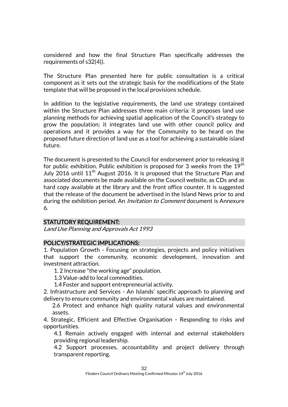considered and how the final Structure Plan specifically addresses the requirements of s32(4)).

The Structure Plan presented here for public consultation is a critical component as it sets out the strategic basis for the modifications of the State template that will be proposed in the local provisions schedule.

In addition to the legislative requirements, the land use strategy contained within the Structure Plan addresses three main criteria: it proposes land use planning methods for achieving spatial application of the Council's strategy to grow the population; it integrates land use with other council policy and operations and it provides a way for the Community to be heard on the proposed future direction of land use as a tool for achieving a sustainable island future.

The document is presented to the Council for endorsement prior to releasing it for public exhibition. Public exhibition is proposed for 3 weeks from the  $19<sup>th</sup>$ July 2016 until  $11<sup>th</sup>$  August 2016. It is proposed that the Structure Plan and associated documents be made available on the Council website, as CDs and as hard copy available at the library and the front office counter. It is suggested that the release of the document be advertised in the Island News prior to and during the exhibition period. An *Invitation to Comment* document is Annexure 6.

# STATUTORY REQUIREMENT:

Land Use Planning and Approvals Act 1993

#### POLICY/STRATEGIC IMPLICATIONS:

1. Population Growth - Focusing on strategies, projects and policy initiatives that support the community, economic development, innovation and investment attraction.

1. 2 Increase "the working age" population.

1.3 Value-add to local commodities.

1.4 Foster and support entrepreneurial activity.

2. Infrastructure and Services - An Islands' specific approach to planning and delivery to ensure community and environmental values are maintained.

2.6 Protect and enhance high quality natural values and environmental assets.

4. Strategic, Efficient and Effective Organisation - Responding to risks and opportunities.

4.1 Remain actively engaged with internal and external stakeholders providing regional leadership.

4.2 Support processes, accountability and project delivery through transparent reporting.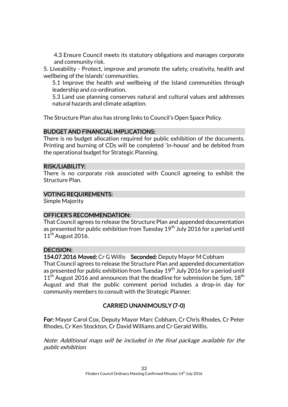4.3 Ensure Council meets its statutory obligations and manages corporate and community risk.

5. Liveability - Protect, improve and promote the safety, creativity, health and wellbeing of the Islands' communities.

5.1 Improve the health and wellbeing of the Island communities through leadership and co-ordination.

5.3 Land use planning conserves natural and cultural values and addresses natural hazards and climate adaption.

The Structure Plan also has strong links to Council's Open Space Policy.

# BUDGET AND FINANCIAL IMPLICATIONS:

There is no budget allocation required for public exhibition of the documents. Printing and burning of CDs will be completed 'in-house' and be debited from the operational budget for Strategic Planning.

### RISK/LIABILITY:

There is no corporate risk associated with Council agreeing to exhibit the Structure Plan.

# VOTING REQUIREMENTS:

Simple Majority

# OFFICER'S RECOMMENDATION:

That Council agrees to release the Structure Plan and appended documentation as presented for public exhibition from Tuesday  $19<sup>th</sup>$  July 2016 for a period until  $11<sup>th</sup>$  August 2016.

# DECISION:

154.07.2016 Moved: Cr G Willis Seconded: Deputy Mayor M Cobham That Council agrees to release the Structure Plan and appended documentation as presented for public exhibition from Tuesday  $19<sup>th</sup>$  July 2016 for a period until  $11<sup>th</sup>$  August 2016 and announces that the deadline for submission be 5pm,  $18<sup>th</sup>$ August and that the public comment period includes a drop-in day for community members to consult with the Strategic Planner.

# CARRIED UNANIMOUSLY (7-0)

For: Mayor Carol Cox, Deputy Mayor Marc Cobham, Cr Chris Rhodes, Cr Peter Rhodes, Cr Ken Stockton, Cr David Williams and Cr Gerald Willis.

Note: Additional maps will be included in the final package available for the public exhibition.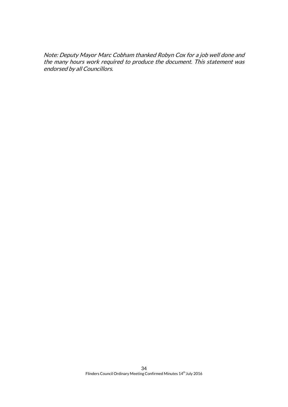Note: Deputy Mayor Marc Cobham thanked Robyn Cox for a job well done and the many hours work required to produce the document. This statement was endorsed by all Councillors.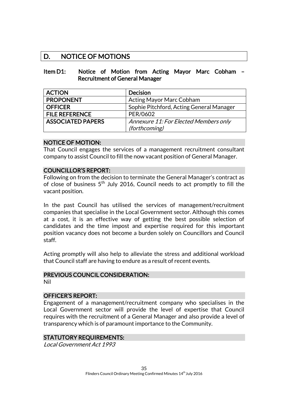# D. NOTICE OF MOTIONS

#### Item D1: Notice of Motion from Acting Mayor Marc Cobham – Recruitment of General Manager

| <b>ACTION</b>            | <b>Decision</b>                          |
|--------------------------|------------------------------------------|
| <b>PROPONENT</b>         | <b>Acting Mayor Marc Cobham</b>          |
| <b>OFFICER</b>           | Sophie Pitchford, Acting General Manager |
| <b>FILE REFERENCE</b>    | PER/0602                                 |
| <b>ASSOCIATED PAPERS</b> | Annexure 11: For Elected Members only    |
|                          | (forthcoming)                            |

### NOTICE OF MOTION:

That Council engages the services of a management recruitment consultant company to assist Council to fill the now vacant position of General Manager.

### COUNCILLOR'S REPORT:

Following on from the decision to terminate the General Manager's contract as of close of business 5<sup>th</sup> July 2016, Council needs to act promptly to fill the vacant position.

In the past Council has utilised the services of management/recruitment companies that specialise in the Local Government sector. Although this comes at a cost, it is an effective way of getting the best possible selection of candidates and the time impost and expertise required for this important position vacancy does not become a burden solely on Councillors and Council staff.

Acting promptly will also help to alleviate the stress and additional workload that Council staff are having to endure as a result of recent events.

# PREVIOUS COUNCIL CONSIDERATION:

Nil

#### OFFICER'S REPORT:

Engagement of a management/recruitment company who specialises in the Local Government sector will provide the level of expertise that Council requires with the recruitment of a General Manager and also provide a level of transparency which is of paramount importance to the Community.

#### STATUTORY REQUIREMENTS:

Local Government Act 1993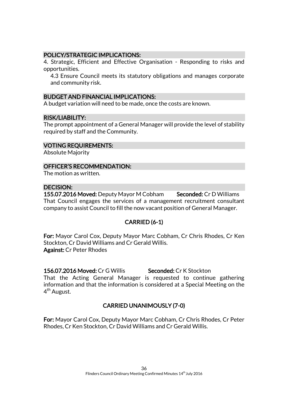### POLICY/STRATEGIC IMPLICATIONS:

4. Strategic, Efficient and Effective Organisation - Responding to risks and opportunities.

4.3 Ensure Council meets its statutory obligations and manages corporate and community risk.

#### BUDGET AND FINANCIAL IMPLICATIONS:

A budget variation will need to be made, once the costs are known.

#### RISK/LIABILITY:

The prompt appointment of a General Manager will provide the level of stability required by staff and the Community.

VOTING REQUIREMENTS:

Absolute Majority

OFFICER'S RECOMMENDATION:

The motion as written.

# DECISION:

155.07.2016 Moved: Deputy Mayor M Cobham Seconded: Cr D Williams That Council engages the services of a management recruitment consultant company to assist Council to fill the now vacant position of General Manager.

# CARRIED (6-1)

For: Mayor Carol Cox, Deputy Mayor Marc Cobham, Cr Chris Rhodes, Cr Ken Stockton, Cr David Williams and Cr Gerald Willis. Against: Cr Peter Rhodes

156.07.2016 Moved: Cr G Willis Seconded: Cr K Stockton That the Acting General Manager is requested to continue gathering information and that the information is considered at a Special Meeting on the 4<sup>th</sup> August.

# CARRIED UNANIMOUSLY (7-0)

For: Mayor Carol Cox, Deputy Mayor Marc Cobham, Cr Chris Rhodes, Cr Peter Rhodes, Cr Ken Stockton, Cr David Williams and Cr Gerald Willis.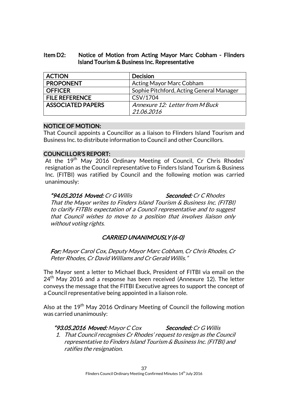### Item D2: Notice of Motion from Acting Mayor Marc Cobham - Flinders Island Tourism & Business Inc. Representative

| <b>ACTION</b>            | <b>Decision</b>                          |
|--------------------------|------------------------------------------|
| <b>PROPONENT</b>         | Acting Mayor Marc Cobham                 |
| <b>OFFICER</b>           | Sophie Pitchford, Acting General Manager |
| <b>FILE REFERENCE</b>    | CSV/1704                                 |
| <b>ASSOCIATED PAPERS</b> | Annexure 12: Letter from M Buck          |
|                          | 21.06.2016                               |

### NOTICE OF MOTION:

That Council appoints a Councillor as a liaison to Flinders Island Tourism and Business Inc. to distribute information to Council and other Councillors.

### COUNCILLOR'S REPORT:

At the 19<sup>th</sup> May 2016 Ordinary Meeting of Council, Cr Chris Rhodes' resignation as the Council representative to Finders Island Tourism & Business Inc. (FITBI) was ratified by Council and the following motion was carried unanimously:

"94.05.2016 Moved: Cr G Willis Seconded: Cr C Rhodes That the Mayor writes to Finders Island Tourism & Business Inc. (FITBI) to clarify FITBIs expectation of a Council representative and to suggest that Council wishes to move to a position that involves liaison only without voting rights.

# CARRIED UNANIMOUSLY (6-0)

For: Mayor Carol Cox, Deputy Mayor Marc Cobham, Cr Chris Rhodes, Cr Peter Rhodes, Cr David Williams and Cr Gerald Willis."

The Mayor sent a letter to Michael Buck, President of FITBI via email on the  $24<sup>th</sup>$  May 2016 and a response has been received (Annexure 12). The letter conveys the message that the FITBI Executive agrees to support the concept of a Council representative being appointed in a liaison role.

Also at the 19<sup>th</sup> May 2016 Ordinary Meeting of Council the following motion was carried unanimously:

### "93.05.2016 Moved: Mayor C Cox Seconded: Cr G Willis

1. That Council recognises Cr Rhodes' request to resign as the Council representative to Finders Island Tourism & Business Inc. (FITBI) and ratifies the resignation.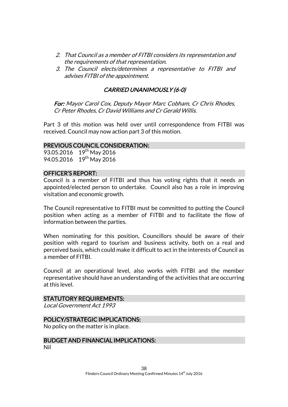- 2. That Council as a member of FITBI considers its representation and the requirements of that representation.
- 3. The Council elects/determines a representative to FITBI and advises FITBI of the appointment.

### CARRIED UNANIMOUSLY (6-0)

For: Mayor Carol Cox, Deputy Mayor Marc Cobham, Cr Chris Rhodes, Cr Peter Rhodes, Cr David Williams and Cr Gerald Willis.

Part 3 of this motion was held over until correspondence from FITBI was received. Council may now action part 3 of this motion.

### PREVIOUS COUNCIL CONSIDERATION:

93.05.2016 19<sup>th</sup> May 2016 94.05.2016 19<sup>th</sup> May 2016

### OFFICER'S REPORT:

Council is a member of FITBI and thus has voting rights that it needs an appointed/elected person to undertake. Council also has a role in improving visitation and economic growth.

The Council representative to FITBI must be committed to putting the Council position when acting as a member of FITBI and to facilitate the flow of information between the parties.

When nominating for this position, Councillors should be aware of their position with regard to tourism and business activity, both on a real and perceived basis, which could make it difficult to act in the interests of Council as a member of FITBI.

Council at an operational level, also works with FITBI and the member representative should have an understanding of the activities that are occurring at this level.

### STATUTORY REQUIREMENTS:

Local Government Act 1993

### POLICY/STRATEGIC IMPLICATIONS:

No policy on the matter is in place.

# BUDGET AND FINANCIAL IMPLICATIONS:

Nil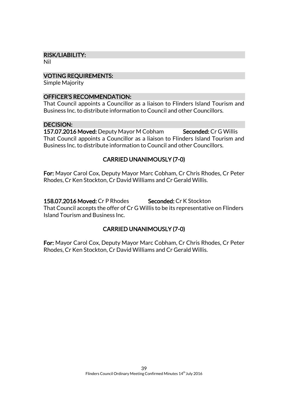### RISK/LIABILITY:

Nil

### VOTING REQUIREMENTS:

Simple Majority

### OFFICER'S RECOMMENDATION:

That Council appoints a Councillor as a liaison to Flinders Island Tourism and Business Inc. to distribute information to Council and other Councillors.

### DECISION:

157.07.2016 Moved: Deputy Mayor M Cobham Seconded: Cr G Willis That Council appoints a Councillor as a liaison to Flinders Island Tourism and Business Inc. to distribute information to Council and other Councillors.

# CARRIED UNANIMOUSLY (7-0)

For: Mayor Carol Cox, Deputy Mayor Marc Cobham, Cr Chris Rhodes, Cr Peter Rhodes, Cr Ken Stockton, Cr David Williams and Cr Gerald Willis.

158.07.2016 Moved: Cr P Rhodes Seconded: Cr K Stockton That Council accepts the offer of Cr G Willis to be its representative on Flinders Island Tourism and Business Inc.

# CARRIED UNANIMOUSLY (7-0)

For: Mayor Carol Cox, Deputy Mayor Marc Cobham, Cr Chris Rhodes, Cr Peter Rhodes, Cr Ken Stockton, Cr David Williams and Cr Gerald Willis.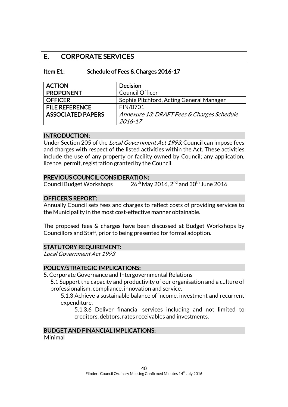# E. CORPORATE SERVICES

| Item E1: | Schedule of Fees & Charges 2016-17 |
|----------|------------------------------------|
|----------|------------------------------------|

| <b>ACTION</b>            | <b>Decision</b>                            |
|--------------------------|--------------------------------------------|
| <b>PROPONENT</b>         | <b>Council Officer</b>                     |
| <b>OFFICER</b>           | Sophie Pitchford, Acting General Manager   |
| <b>FILE REFERENCE</b>    | FIN/0701                                   |
| <b>ASSOCIATED PAPERS</b> | Annexure 13: DRAFT Fees & Charges Schedule |
|                          | 2016-17                                    |

### INTRODUCTION:

Under Section 205 of the Local Government Act 1993, Council can impose fees and charges with respect of the listed activities within the Act. These activities include the use of any property or facility owned by Council; any application, licence, permit, registration granted by the Council.

### PREVIOUS COUNCIL CONSIDERATION:

Council Budget Workshops  $26^{th}$  May 2016, 2<sup>nd</sup> and 30<sup>th</sup> June 2016

### OFFICER'S REPORT:

Annually Council sets fees and charges to reflect costs of providing services to the Municipality in the most cost-effective manner obtainable.

The proposed fees & charges have been discussed at Budget Workshops by Councillors and Staff, prior to being presented for formal adoption.

### STATUTORY REQUIREMENT:

Local Government Act 1993

### POLICY/STRATEGIC IMPLICATIONS:

5. Corporate Governance and Intergovernmental Relations

5.1 Support the capacity and productivity of our organisation and a culture of professionalism, compliance, innovation and service.

5.1.3 Achieve a sustainable balance of income, investment and recurrent expenditure.

5.1.3.6 Deliver financial services including and not limited to creditors, debtors, rates receivables and investments.

### BUDGET AND FINANCIAL IMPLICATIONS:

Minimal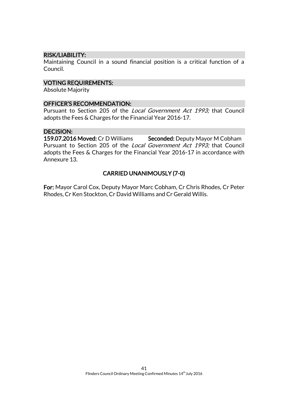### RISK/LIABILITY:

Maintaining Council in a sound financial position is a critical function of a Council.

### VOTING REQUIREMENTS:

Absolute Majority

#### OFFICER'S RECOMMENDATION:

Pursuant to Section 205 of the Local Government Act 1993; that Council adopts the Fees & Charges for the Financial Year 2016-17.

#### DECISION:

159.07.2016 Moved: Cr D Williams Seconded: Deputy Mayor M Cobham Pursuant to Section 205 of the Local Government Act 1993; that Council adopts the Fees & Charges for the Financial Year 2016-17 in accordance with Annexure 13.

### CARRIED UNANIMOUSLY (7-0)

For: Mayor Carol Cox, Deputy Mayor Marc Cobham, Cr Chris Rhodes, Cr Peter Rhodes, Cr Ken Stockton, Cr David Williams and Cr Gerald Willis.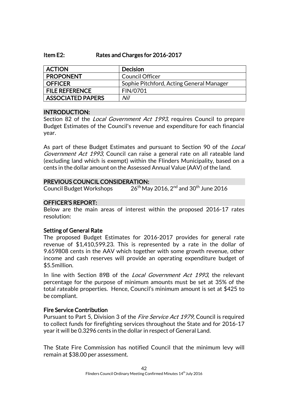#### Item E2: Rates and Charges for 2016-2017

| <b>ACTION</b>         | <b>Decision</b>                          |
|-----------------------|------------------------------------------|
| <b>PROPONENT</b>      | <b>Council Officer</b>                   |
| <b>OFFICER</b>        | Sophie Pitchford, Acting General Manager |
| <b>FILE REFERENCE</b> | FIN/0701                                 |
| ASSOCIATED PAPERS     | Nil                                      |

### INTRODUCTION:

Section 82 of the *Local Government Act 1993*, requires Council to prepare Budget Estimates of the Council's revenue and expenditure for each financial year.

As part of these Budget Estimates and pursuant to Section 90 of the *Local* Government Act 1993, Council can raise a general rate on all rateable land (excluding land which is exempt) within the Flinders Municipality, based on a cents in the dollar amount on the Assessed Annual Value (AAV) of the land.

### PREVIOUS COUNCIL CONSIDERATION:

Council Budget Workshops  $26^{\text{th}}$  May 2016, 2 $^{\text{nd}}$  and 30 $^{\text{th}}$  June 2016

### OFFICER'S REPORT:

Below are the main areas of interest within the proposed 2016-17 rates resolution:

### Setting of General Rate

The proposed Budget Estimates for 2016-2017 provides for general rate revenue of \$1,410,599.23. This is represented by a rate in the dollar of 9.659808 cents in the AAV which together with some growth revenue, other income and cash reserves will provide an operating expenditure budget of \$5.5million.

In line with Section 89B of the *Local Government Act 1993*, the relevant percentage for the purpose of minimum amounts must be set at 35% of the total rateable properties. Hence, Council's minimum amount is set at \$425 to be compliant.

### Fire Service Contribution

Pursuant to Part 5, Division 3 of the *Fire Service Act 1979*, Council is required to collect funds for firefighting services throughout the State and for 2016-17 year it will be 0.3296 cents in the dollar in respect of General Land.

The State Fire Commission has notified Council that the minimum levy will remain at \$38.00 per assessment.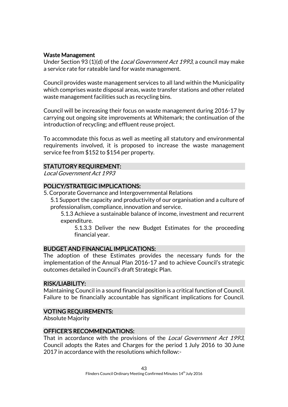### Waste Management

Under Section 93 (1)(d) of the *Local Government Act 1993*, a council may make a service rate for rateable land for waste management.

Council provides waste management services to all land within the Municipality which comprises waste disposal areas, waste transfer stations and other related waste management facilities such as recycling bins.

Council will be increasing their focus on waste management during 2016-17 by carrying out ongoing site improvements at Whitemark; the continuation of the introduction of recycling; and effluent reuse project.

To accommodate this focus as well as meeting all statutory and environmental requirements involved, it is proposed to increase the waste management service fee from \$152 to \$154 per property.

### STATUTORY REQUIREMENT:

Local Government Act 1993

### POLICY/STRATEGIC IMPLICATIONS:

- 5. Corporate Governance and Intergovernmental Relations
	- 5.1 Support the capacity and productivity of our organisation and a culture of professionalism, compliance, innovation and service.

5.1.3 Achieve a sustainable balance of income, investment and recurrent expenditure.

5.1.3.3 Deliver the new Budget Estimates for the proceeding financial year.

### BUDGET AND FINANCIAL IMPLICATIONS:

The adoption of these Estimates provides the necessary funds for the implementation of the Annual Plan 2016-17 and to achieve Council's strategic outcomes detailed in Council's draft Strategic Plan.

### RISK/LIABILITY:

Maintaining Council in a sound financial position is a critical function of Council. Failure to be financially accountable has significant implications for Council.

### VOTING REQUIREMENTS:

Absolute Majority

### OFFICER'S RECOMMENDATIONS:

That in accordance with the provisions of the *Local Government Act 1993*, Council adopts the Rates and Charges for the period 1 July 2016 to 30 June 2017 in accordance with the resolutions which follow:-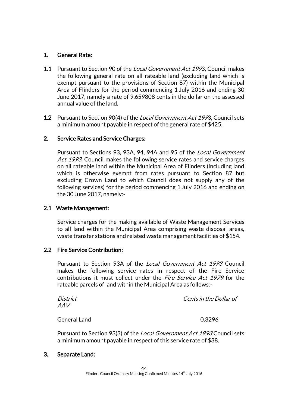# 1. General Rate:

- 1.1 Pursuant to Section 90 of the *Local Government Act 199*3. Council makes the following general rate on all rateable land (excluding land which is exempt pursuant to the provisions of Section 87) within the Municipal Area of Flinders for the period commencing 1 July 2016 and ending 30 June 2017, namely a rate of 9.659808 cents in the dollar on the assessed annual value of the land.
- **1.2** Pursuant to Section 90(4) of the *Local Government Act 199*3, Council sets a minimum amount payable in respect of the general rate of \$425.

### 2. Service Rates and Service Charges:

Pursuant to Sections 93, 93A, 94, 94A and 95 of the Local Government Act 1993, Council makes the following service rates and service charges on all rateable land within the Municipal Area of Flinders (including land which is otherwise exempt from rates pursuant to Section 87 but excluding Crown Land to which Council does not supply any of the following services) for the period commencing 1 July 2016 and ending on the 30June 2017, namely:-

### 2.1 Waste Management:

Service charges for the making available of Waste Management Services to all land within the Municipal Area comprising waste disposal areas, waste transfer stations and related waste management facilities of \$154.

### 2.2 Fire Service Contribution:

Pursuant to Section 93A of the Local Government Act 1993 Council makes the following service rates in respect of the Fire Service contributions it must collect under the *Fire Service Act 1979* for the rateable parcels of land within the Municipal Area as follows:-

| District            | <i>Cents in the Dollar of</i> |
|---------------------|-------------------------------|
| AAV                 |                               |
| <b>General Land</b> | 0.3296                        |

Pursuant to Section 93(3) of the Local Government Act 1993 Council sets a minimum amount payable in respect of this service rate of \$38.

### 3. Separate Land: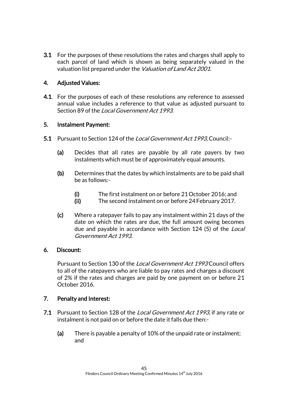3.1 For the purposes of these resolutions the rates and charges shall apply to each parcel of land which is shown as being separately valued in the valuation list prepared under the *Valuation of Land Act 2001*.

# 4. Adjusted Values:

**4.1.** For the purposes of each of these resolutions any reference to assessed annual value includes a reference to that value as adjusted pursuant to Section 89 of the Local Government Act 1993.

# 5. Instalment Payment:

- 5.1 Pursuant to Section 124 of the Local Government Act 1993, Council:-
	- (a) Decides that all rates are payable by all rate payers by two instalments which must be of approximately equal amounts.
	- (b) Determines that the dates by which instalments are to be paid shall be as follows:-
		- (i) The first instalment on or before 21October 2016; and
		- (ii) The second instalment on or before 24February 2017.
	- (c) Where a ratepayer fails to pay any instalment within 21 days of the date on which the rates are due, the full amount owing becomes due and payable in accordance with Section 124 (5) of the *Local* Government Act 1993.

### 6. Discount:

Pursuant to Section 130 of the Local Government Act 1993 Council offers to all of the ratepayers who are liable to pay rates and charges a discount of 2% if the rates and charges are paid by one payment on or before 21 October 2016.

# 7. Penalty and Interest:

- 7.1 Pursuant to Section 128 of the Local Government Act 1993, if any rate or instalment is not paid on or before the date it falls due then:-
	- (a) There is payable a penalty of 10% of the unpaid rate or instalment; and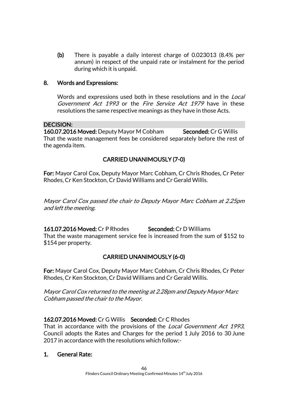(b) There is payable a daily interest charge of 0.023013 (8.4% per annum) in respect of the unpaid rate or instalment for the period during which it is unpaid.

### 8. Words and Expressions:

Words and expressions used both in these resolutions and in the *Local* Government Act 1993 or the Fire Service Act 1979 have in these resolutions the same respective meanings as they have in those Acts.

### DECISION:

160.07.2016 Moved: Deputy Mayor M Cobham Seconded: Cr G Willis That the waste management fees be considered separately before the rest of the agenda item.

# CARRIED UNANIMOUSLY (7-0)

For: Mayor Carol Cox, Deputy Mayor Marc Cobham, Cr Chris Rhodes, Cr Peter Rhodes, Cr Ken Stockton, Cr David Williams and Cr Gerald Willis.

Mayor Carol Cox passed the chair to Deputy Mayor Marc Cobham at 2.25pm and left the meeting.

161.07.2016 Moved: Cr P Rhodes Seconded: Cr D Williams That the waste management service fee is increased from the sum of \$152 to \$154 per property.

# CARRIED UNANIMOUSLY (6-0)

For: Mayor Carol Cox, Deputy Mayor Marc Cobham, Cr Chris Rhodes, Cr Peter Rhodes, Cr Ken Stockton, Cr David Williams and Cr Gerald Willis.

Mayor Carol Cox returned to the meeting at 2.28pm and Deputy Mayor Marc Cobham passed the chair to the Mayor.

### 162.07.2016 Moved: Cr G Willis Seconded: Cr C Rhodes

That in accordance with the provisions of the *Local Government Act 1993*, Council adopts the Rates and Charges for the period 1 July 2016 to 30 June 2017 in accordance with the resolutions which follow:-

### 1. General Rate: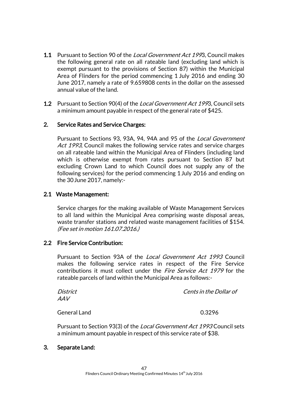- 1.1 Pursuant to Section 90 of the Local Government Act 1993, Council makes the following general rate on all rateable land (excluding land which is exempt pursuant to the provisions of Section 87) within the Municipal Area of Flinders for the period commencing 1 July 2016 and ending 30 June 2017, namely a rate of 9.659808 cents in the dollar on the assessed annual value of the land.
- 1.2 Pursuant to Section 90(4) of the *Local Government Act 199*3. Council sets a minimum amount payable in respect of the general rate of \$425.

### 2. Service Rates and Service Charges:

Pursuant to Sections 93, 93A, 94, 94A and 95 of the Local Government Act 1993, Council makes the following service rates and service charges on all rateable land within the Municipal Area of Flinders (including land which is otherwise exempt from rates pursuant to Section 87 but excluding Crown Land to which Council does not supply any of the following services) for the period commencing 1 July 2016 and ending on the 30June 2017, namely:-

### 2.1 Waste Management:

Service charges for the making available of Waste Management Services to all land within the Municipal Area comprising waste disposal areas, waste transfer stations and related waste management facilities of \$154. (Fee set in motion 161.07.2016.)

### 2.2 Fire Service Contribution:

Pursuant to Section 93A of the Local Government Act 1993 Council makes the following service rates in respect of the Fire Service contributions it must collect under the *Fire Service Act 1979* for the rateable parcels of land within the Municipal Area as follows:-

| District<br><b>AAV</b> | Cents in the Dollar of |
|------------------------|------------------------|
| <b>General Land</b>    | 0.3296                 |
|                        |                        |

Pursuant to Section 93(3) of the *Local Government Act 1993* Council sets a minimum amount payable in respect of this service rate of \$38.

3. Separate Land: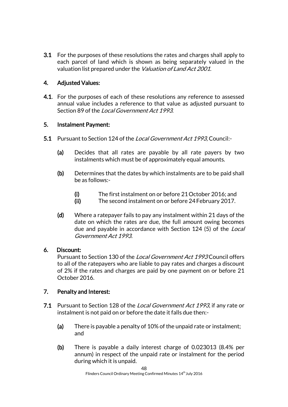3.1 For the purposes of these resolutions the rates and charges shall apply to each parcel of land which is shown as being separately valued in the valuation list prepared under the *Valuation of Land Act 2001*.

# 4. Adjusted Values:

**4.1.** For the purposes of each of these resolutions any reference to assessed annual value includes a reference to that value as adjusted pursuant to Section 89 of the Local Government Act 1993.

# 5. Instalment Payment:

- 5.1 Pursuant to Section 124 of the Local Government Act 1993, Council:-
	- (a) Decides that all rates are payable by all rate payers by two instalments which must be of approximately equal amounts.
	- (b) Determines that the dates by which instalments are to be paid shall be as follows:-
		- (i) The first instalment on or before 21October 2016; and
		- (ii) The second instalment on or before 24February 2017.
	- (d) Where a ratepayer fails to pay any instalment within 21 days of the date on which the rates are due, the full amount owing becomes due and payable in accordance with Section 124 (5) of the Local Government Act 1993.

# 6. Discount:

Pursuant to Section 130 of the Local Government Act 1993 Council offers to all of the ratepayers who are liable to pay rates and charges a discount of 2% if the rates and charges are paid by one payment on or before 21 October 2016.

# 7. Penalty and Interest:

- 7.1 Pursuant to Section 128 of the Local Government Act 1993, if any rate or instalment is not paid on or before the date it falls due then:-
	- (a) There is payable a penalty of 10% of the unpaid rate or instalment; and
	- (b) There is payable a daily interest charge of 0.023013 (8.4% per annum) in respect of the unpaid rate or instalment for the period during which it is unpaid.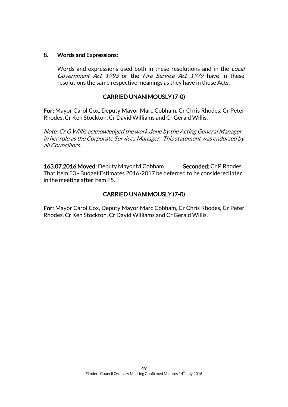### 8. Words and Expressions:

Words and expressions used both in these resolutions and in the *Local* Government Act 1993 or the Fire Service Act 1979 have in these resolutions the same respective meanings as they have in those Acts.

### CARRIED UNANIMOUSLY (7-0)

For: Mayor Carol Cox, Deputy Mayor Marc Cobham, Cr Chris Rhodes, Cr Peter Rhodes, Cr Ken Stockton, Cr David Williams and Cr Gerald Willis.

Note: Cr G Willis acknowledged the work done by the Acting General Manager in her role as the Corporate Services Manager. This statement was endorsed by all Councillors.

163.07.2016 Moved: Deputy Mayor M Cobham Seconded: Cr P Rhodes That Item E3 - Budget Estimates 2016-2017 be deferred to be considered later in the meeting after Item F5.

# CARRIED UNANIMOUSLY (7-0)

For: Mayor Carol Cox, Deputy Mayor Marc Cobham, Cr Chris Rhodes, Cr Peter Rhodes, Cr Ken Stockton, Cr David Williams and Cr Gerald Willis.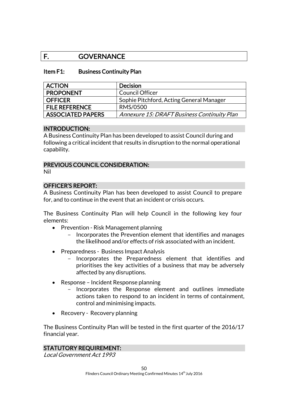# F. GOVERNANCE

### Item F1: Business Continuity Plan

| <b>ACTION</b>         | <b>Decision</b>                             |
|-----------------------|---------------------------------------------|
| <b>PROPONENT</b>      | <b>Council Officer</b>                      |
| <b>OFFICER</b>        | Sophie Pitchford, Acting General Manager    |
| <b>FILE REFERENCE</b> | RMS/0500                                    |
| ASSOCIATED PAPERS     | Annexure 15: DRAFT Business Continuity Plan |

### INTRODUCTION:

A Business Continuity Plan has been developed to assist Council during and following a critical incident that results in disruption to the normal operational capability.

### PREVIOUS COUNCIL CONSIDERATION:

Nil

### OFFICER'S REPORT:

A Business Continuity Plan has been developed to assist Council to prepare for, and to continue in the event that an incident or crisis occurs.

The Business Continuity Plan will help Council in the following key four elements:

- Prevention Risk Management planning
	- Incorporates the Prevention element that identifies and manages the likelihood and/or effects of risk associated with an incident.
- Preparedness Business Impact Analysis
	- Incorporates the Preparedness element that identifies and prioritises the key activities of a business that may be adversely affected by any disruptions.
- Response Incident Response planning
	- Incorporates the Response element and outlines immediate actions taken to respond to an incident in terms of containment, control and minimising impacts.
- Recovery Recovery planning

The Business Continuity Plan will be tested in the first quarter of the 2016/17 financial year.

### STATUTORY REQUIREMENT:

Local Government Act 1993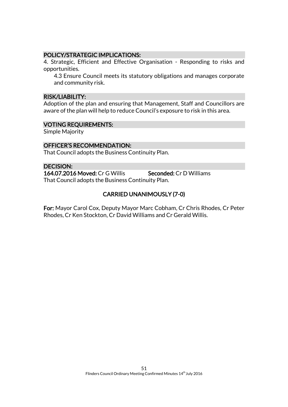### POLICY/STRATEGIC IMPLICATIONS:

4. Strategic, Efficient and Effective Organisation - Responding to risks and opportunities.

4.3 Ensure Council meets its statutory obligations and manages corporate and community risk.

### RISK/LIABILITY:

Adoption of the plan and ensuring that Management, Staff and Councillors are aware of the plan will help to reduce Council's exposure to risk in this area.

### VOTING REQUIREMENTS:

Simple Majority

### OFFICER'S RECOMMENDATION:

That Council adopts the Business Continuity Plan.

### DECISION:

164.07.2016 Moved: Cr G Willis Seconded: Cr D Williams That Council adopts the Business Continuity Plan.

# CARRIED UNANIMOUSLY (7-0)

For: Mayor Carol Cox, Deputy Mayor Marc Cobham, Cr Chris Rhodes, Cr Peter Rhodes, Cr Ken Stockton, Cr David Williams and Cr Gerald Willis.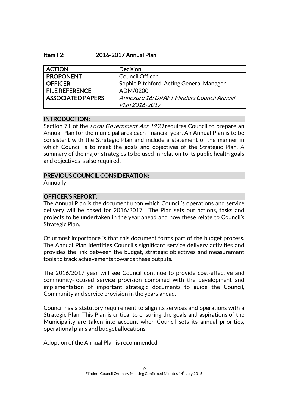#### Item F2: 2016-2017 Annual Plan

| <b>ACTION</b>            | <b>Decision</b>                            |
|--------------------------|--------------------------------------------|
| <b>PROPONENT</b>         | <b>Council Officer</b>                     |
| <b>OFFICER</b>           | Sophie Pitchford, Acting General Manager   |
| <b>FILE REFERENCE</b>    | ADM/0200                                   |
| <b>ASSOCIATED PAPERS</b> | Annexure 16: DRAFT Flinders Council Annual |
|                          | Plan 2016-2017                             |

#### INTRODUCTION:

Section 71 of the *Local Government Act 1993* requires Council to prepare an Annual Plan for the municipal area each financial year. An Annual Plan is to be consistent with the Strategic Plan and include a statement of the manner in which Council is to meet the goals and objectives of the Strategic Plan. A summary of the major strategies to be used in relation to its public health goals and objectives is also required.

### PREVIOUS COUNCIL CONSIDERATION:

Annually

### OFFICER'S REPORT:

The Annual Plan is the document upon which Council's operations and service delivery will be based for 2016/2017. The Plan sets out actions, tasks and projects to be undertaken in the year ahead and how these relate to Council's Strategic Plan.

Of utmost importance is that this document forms part of the budget process. The Annual Plan identifies Council's significant service delivery activities and provides the link between the budget, strategic objectives and measurement tools to track achievements towards these outputs.

The 2016/2017 year will see Council continue to provide cost-effective and community-focused service provision combined with the development and implementation of important strategic documents to guide the Council, Community and service provision in the years ahead.

Council has a statutory requirement to align its services and operations with a Strategic Plan. This Plan is critical to ensuring the goals and aspirations of the Municipality are taken into account when Council sets its annual priorities, operational plans and budget allocations.

Adoption of the Annual Plan is recommended.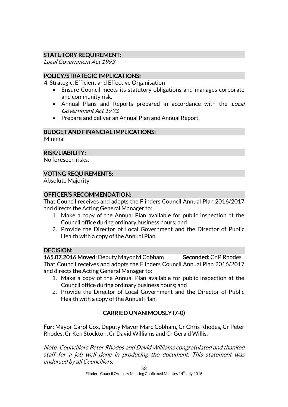# STATUTORY REQUIREMENT:

Local Government Act 1993

### POLICY/STRATEGIC IMPLICATIONS:

4. Strategic, Efficient and Effective Organisation

- Ensure Council meets its statutory obligations and manages corporate and community risk.
- Annual Plans and Reports prepared in accordance with the Local Government Act 1993.
- Prepare and deliver an Annual Plan and Annual Report.

### BUDGET AND FINANCIAL IMPLICATIONS:

Minimal

# RISK/LIABILITY:

No foreseen risks.

# VOTING REQUIREMENTS:

Absolute Majority

### OFFICER'S RECOMMENDATION:

That Council receives and adopts the Flinders Council Annual Plan 2016/2017 and directs the Acting General Manager to:

- 1. Make a copy of the Annual Plan available for public inspection at the Council office during ordinary business hours; and
- 2. Provide the Director of Local Government and the Director of Public Health with a copy of the Annual Plan.

### DECISION:

165.07.2016 Moved: Deputy Mayor M Cobham Seconded: Cr P Rhodes That Council receives and adopts the Flinders Council Annual Plan 2016/2017 and directs the Acting General Manager to:

- 1. Make a copy of the Annual Plan available for public inspection at the Council office during ordinary business hours; and
- 2. Provide the Director of Local Government and the Director of Public Health with a copy of the Annual Plan.

# CARRIED UNANIMOUSLY (7-0)

For: Mayor Carol Cox, Deputy Mayor Marc Cobham, Cr Chris Rhodes, Cr Peter Rhodes, Cr Ken Stockton, Cr David Williams and Cr Gerald Willis.

Note: Councillors Peter Rhodes and David Williams congratulated and thanked staff for a job well done in producing the document. This statement was endorsed by all Councillors.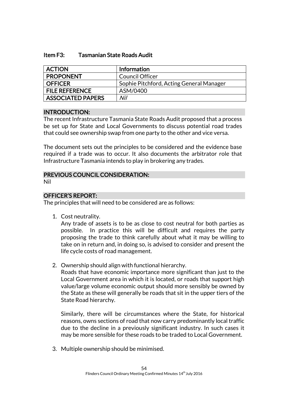### Item F3: Tasmanian State Roads Audit

| <b>ACTION</b>            | <b>Information</b>                       |
|--------------------------|------------------------------------------|
| <b>PROPONENT</b>         | <b>Council Officer</b>                   |
| <b>OFFICER</b>           | Sophie Pitchford, Acting General Manager |
| <b>FILE REFERENCE</b>    | ASM/0400                                 |
| <b>ASSOCIATED PAPERS</b> | Nil                                      |

### INTRODUCTION:

The recent Infrastructure Tasmania State Roads Audit proposed that a process be set up for State and Local Governments to discuss potential road trades that could see ownership swap from one party to the other and vice versa.

The document sets out the principles to be considered and the evidence base required if a trade was to occur. It also documents the arbitrator role that Infrastructure Tasmania intends to play in brokering any trades.

### PREVIOUS COUNCIL CONSIDERATION:

Nil

### OFFICER'S REPORT:

The principles that will need to be considered are as follows:

1. Cost neutrality.

Any trade of assets is to be as close to cost neutral for both parties as possible. In practice this will be difficult and requires the party proposing the trade to think carefully about what it may be willing to take on in return and, in doing so, is advised to consider and present the life cycle costs of road management.

2. Ownership should align with functional hierarchy.

Roads that have economic importance more significant than just to the Local Government area in which it is located, or roads that support high value/large volume economic output should more sensibly be owned by the State as these will generally be roads that sit in the upper tiers of the State Road hierarchy.

Similarly, there will be circumstances where the State, for historical reasons, owns sections of road that now carry predominantly local traffic due to the decline in a previously significant industry. In such cases it may be more sensible for these roads to be traded to Local Government.

3. Multiple ownership should be minimised.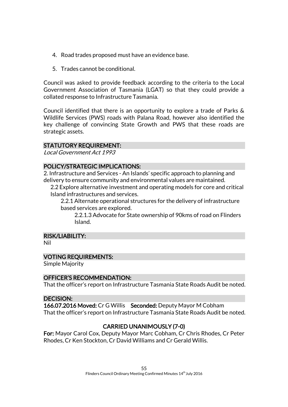- 4. Road trades proposed must have an evidence base.
- 5. Trades cannot be conditional.

Council was asked to provide feedback according to the criteria to the Local Government Association of Tasmania (LGAT) so that they could provide a collated response to Infrastructure Tasmania.

Council identified that there is an opportunity to explore a trade of Parks & Wildlife Services (PWS) roads with Palana Road, however also identified the key challenge of convincing State Growth and PWS that these roads are strategic assets.

### STATUTORY REQUIREMENT:

Local Government Act 1993

### POLICY/STRATEGIC IMPLICATIONS:

2. Infrastructure and Services - An Islands' specific approach to planning and delivery to ensure community and environmental values are maintained.

2.2 Explore alternative investment and operating models for core and critical Island infrastructures and services.

2.2.1 Alternate operational structures for the delivery of infrastructure based services are explored.

2.2.1.3 Advocate for State ownership of 90kms of road on Flinders Island.

### RISK/LIABILITY:

Nil

### VOTING REQUIREMENTS:

Simple Majority

### OFFICER'S RECOMMENDATION:

That the officer's report on Infrastructure Tasmania State Roads Audit be noted.

### DECISION:

166.07.2016 Moved: Cr G Willis Seconded: Deputy Mayor M Cobham That the officer's report on Infrastructure Tasmania State Roads Audit be noted.

# CARRIED UNANIMOUSLY (7-0)

For: Mayor Carol Cox, Deputy Mayor Marc Cobham, Cr Chris Rhodes, Cr Peter Rhodes, Cr Ken Stockton, Cr David Williams and Cr Gerald Willis.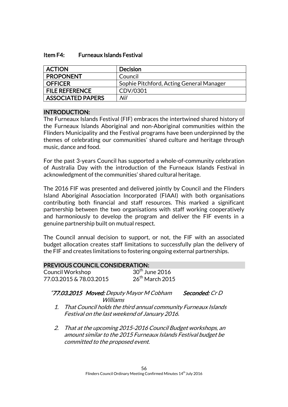#### Item F4: Furneaux Islands Festival

| <b>ACTION</b>            | <b>Decision</b>                          |
|--------------------------|------------------------------------------|
| <b>PROPONENT</b>         | Council                                  |
| <b>OFFICER</b>           | Sophie Pitchford, Acting General Manager |
| <b>FILE REFERENCE</b>    | CDV/0301                                 |
| <b>ASSOCIATED PAPERS</b> | Nil                                      |

### INTRODUCTION:

The Furneaux Islands Festival (FIF) embraces the intertwined shared history of the Furneaux Islands Aboriginal and non-Aboriginal communities within the Flinders Municipality and the Festival programs have been underpinned by the themes of celebrating our communities' shared culture and heritage through music, dance and food.

For the past 3-years Council has supported a whole-of-community celebration of Australia Day with the introduction of the Furneaux Islands Festival in acknowledgment of the communities' shared cultural heritage.

The 2016 FIF was presented and delivered jointly by Council and the Flinders Island Aboriginal Association Incorporated (FIAAI) with both organisations contributing both financial and staff resources. This marked a significant partnership between the two organisations with staff working cooperatively and harmoniously to develop the program and deliver the FIF events in a genuine partnership built on mutual respect.

The Council annual decision to support, or not, the FIF with an associated budget allocation creates staff limitations to successfully plan the delivery of the FIF and creates limitations to fostering ongoing external partnerships.

| <b>PREVIOUS COUNCIL CONSIDERATION:</b> |                            |  |
|----------------------------------------|----------------------------|--|
| Council Workshop                       | $30^{\text{th}}$ June 2016 |  |
| 77.03.2015 & 78.03.2015                | $26th$ March 2015          |  |

### "77.03.2015 Moved: Deputy Mayor M Cobham Seconded: Cr D Williams

- 1. That Council holds the third annual community Furneaux Islands Festival on the last weekend of January 2016.
- 2. That at the upcoming 2015-2016 Council Budget workshops, an amount similar to the 2015 Furneaux Islands Festival budget be committed to the proposed event.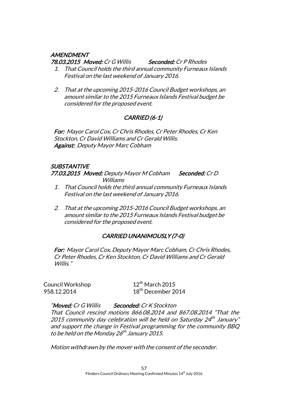### **AMENDMENT**

78.03.2015 Moved: Cr G Willis Seconded: Cr P Rhodes

- 1. That Council holds the third annual community Furneaux Islands Festival on the last weekend of January 2016.
- 2. That at the upcoming 2015-2016 Council Budget workshops, an amount similar to the 2015 Furneaux Islands Festival budget be considered for the proposed event.

# CARRIED (6-1)

For: Mayor Carol Cox, Cr Chris Rhodes, Cr Peter Rhodes, Cr Ken Stockton, Cr David Williams and Cr Gerald Willis. Against: Deputy Mayor Marc Cobham

# **SUBSTANTIVE**

77.03.2015 Moved: Deputy Mayor M Cobham Seconded: Cr D Williams

- 1. That Council holds the third annual community Furneaux Islands Festival on the last weekend of January 2016.
- 2. That at the upcoming 2015-2016 Council Budget workshops, an amount similar to the 2015 Furneaux Islands Festival budget be considered for the proposed event.

# CARRIED UNANIMOUSLY (7-0)

For: Mayor Carol Cox, Deputy Mayor Marc Cobham, Cr Chris Rhodes, Cr Peter Rhodes, Cr Ken Stockton, Cr David Williams and Cr Gerald Willis."

Council Workshop 12<sup>th</sup> March 2015

958.12.2014 18<sup>th</sup> December 2014

"Moved: Cr G Willis Seconded: Cr K Stockton That Council rescind motions 866.08.2014 and 867.08.2014 "That the 2015 community day celebration will be held on Saturday 24<sup>th</sup> January" and support the change in Festival programming for the community BBQ to be held on the Monday 26<sup>th</sup> January 2015.

Motion withdrawn by the mover with the consent of the seconder.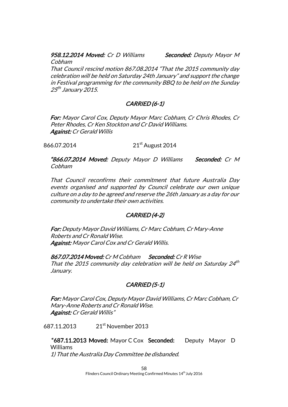### 958.12.2014 Moved: Cr D Williams Seconded: Deputy Mayor M

Cobham

That Council rescind motion 867.08.2014 "That the 2015 community day celebration will be held on Saturday 24th January" and support the change in Festival programming for the community BBQ to be held on the Sunday 25<sup>th</sup> January 2015.

# CARRIED (6-1)

For: Mayor Carol Cox, Deputy Mayor Marc Cobham, Cr Chris Rhodes, Cr Peter Rhodes, Cr Ken Stockton and Cr David Williams. Against: Cr Gerald Willis

866.07.2014 21<sup>st</sup> August 2014

"866.07.2014 Moved: Deputy Mayor D Williams Seconded: Cr M Cobham

That Council reconfirms their commitment that future Australia Day events organised and supported by Council celebrate our own unique culture on a day to be agreed and reserve the 26th January as a day for our community to undertake their own activities.

# CARRIED (4-2)

For: Deputy Mayor David Williams, Cr Marc Cobham, Cr Mary-Anne Roberts and Cr Ronald Wise. Against: Mayor Carol Cox and Cr Gerald Willis.

867.07.2014 Moved: Cr M Cobham Seconded: Cr R Wise That the 2015 community day celebration will be held on Saturday  $24<sup>th</sup>$ January.

# CARRIED (5-1)

For: Mayor Carol Cox, Deputy Mayor David Williams, Cr Marc Cobham, Cr Mary-Anne Roberts and Cr Ronald Wise. Against: Cr Gerald Willis"

687.11.2013 21st November 2013

 "687.11.2013 Moved: Mayor C Cox Seconded: Deputy Mayor D Williams 1) That the Australia Day Committee be disbanded.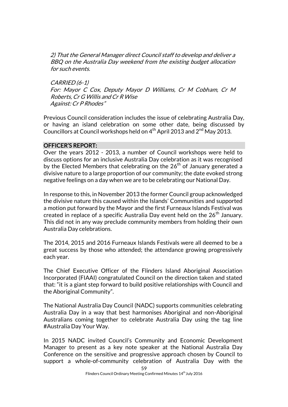2) That the General Manager direct Council staff to develop and deliver a BBQ on the Australia Day weekend from the existing budget allocation for such events.

CARRIED (6-1) For: Mayor C Cox, Deputy Mayor D Williams, Cr M Cobham, Cr M Roberts, Cr G Willis and Cr R Wise Against: Cr P Rhodes"

Previous Council consideration includes the issue of celebrating Australia Day, or having an island celebration on some other date, being discussed by Councillors at Council workshops held on  $4<sup>th</sup>$  April 2013 and  $2<sup>nd</sup>$  May 2013.

### OFFICER'S REPORT:

Over the years 2012 - 2013, a number of Council workshops were held to discuss options for an inclusive Australia Day celebration as it was recognised by the Elected Members that celebrating on the 26<sup>th</sup> of January generated a divisive nature to a large proportion of our community; the date evoked strong negative feelings on a day when we are to be celebrating our National Day.

In response to this, in November 2013 the former Council group acknowledged the divisive nature this caused within the Islands' Communities and supported a motion put forward by the Mayor and the first Furneaux Islands Festival was created in replace of a specific Australia Day event held on the  $26<sup>th</sup>$  January. This did not in any way preclude community members from holding their own Australia Day celebrations.

The 2014, 2015 and 2016 Furneaux Islands Festivals were all deemed to be a great success by those who attended; the attendance growing progressively each year.

The Chief Executive Officer of the Flinders Island Aboriginal Association Incorporated (FIAAI) congratulated Council on the direction taken and stated that: "it is a giant step forward to build positive relationships with Council and the Aboriginal Community".

The National Australia Day Council (NADC) supports communities celebrating Australia Day in a way that best harmonises Aboriginal and non-Aboriginal Australians coming together to celebrate Australia Day using the tag line #Australia Day Your Way.

In 2015 NADC invited Council's Community and Economic Development Manager to present as a key note speaker at the National Australia Day Conference on the sensitive and progressive approach chosen by Council to support a whole-of-community celebration of Australia Day with the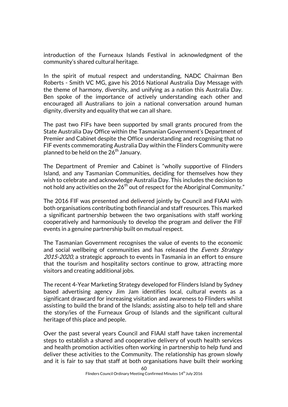introduction of the Furneaux Islands Festival in acknowledgment of the community's shared cultural heritage.

In the spirit of mutual respect and understanding, NADC Chairman Ben Roberts - Smith VC MG, gave his 2016 National Australia Day Message with the theme of harmony, diversity, and unifying as a nation this Australia Day. Ben spoke of the importance of actively understanding each other and encouraged all Australians to join a national conversation around human dignity, diversity and equality that we can all share.

The past two FIFs have been supported by small grants procured from the State Australia Day Office within the Tasmanian Government's Department of Premier and Cabinet despite the Office understanding and recognising that no FIF events commemorating Australia Day within the Flinders Community were planned to be held on the  $26<sup>th</sup>$  January.

The Department of Premier and Cabinet is "wholly supportive of Flinders Island, and any Tasmanian Communities, deciding for themselves how they wish to celebrate and acknowledge Australia Day. This includes the decision to not hold any activities on the  $26<sup>th</sup>$  out of respect for the Aboriginal Community."

The 2016 FIF was presented and delivered jointly by Council and FIAAI with both organisations contributing both financial and staff resources. This marked a significant partnership between the two organisations with staff working cooperatively and harmoniously to develop the program and deliver the FIF events in a genuine partnership built on mutual respect.

The Tasmanian Government recognises the value of events to the economic and social wellbeing of communities and has released the Events Strategy 2015-2020, a strategic approach to events in Tasmania in an effort to ensure that the tourism and hospitality sectors continue to grow, attracting more visitors and creating additional jobs.

The recent 4-Year Marketing Strategy developed for Flinders Island by Sydney based advertising agency Jim Jam identifies local, cultural events as a significant drawcard for increasing visitation and awareness to Flinders whilst assisting to build the brand of the Islands; assisting also to help tell and share the story/ies of the Furneaux Group of Islands and the significant cultural heritage of this place and people.

Over the past several years Council and FIAAI staff have taken incremental steps to establish a shared and cooperative delivery of youth health services and health promotion activities often working in partnership to help fund and deliver these activities to the Community. The relationship has grown slowly and it is fair to say that staff at both organisations have built their working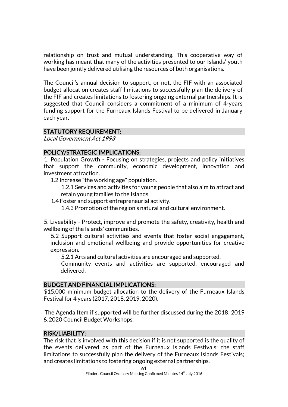relationship on trust and mutual understanding. This cooperative way of working has meant that many of the activities presented to our Islands' youth have been jointly delivered utilising the resources of both organisations.

The Council's annual decision to support, or not, the FIF with an associated budget allocation creates staff limitations to successfully plan the delivery of the FIF and creates limitations to fostering ongoing external partnerships. It is suggested that Council considers a commitment of a minimum of 4-years funding support for the Furneaux Islands Festival to be delivered in January each year.

### STATUTORY REQUIREMENT:

Local Government Act 1993

### POLICY/STRATEGIC IMPLICATIONS:

1. Population Growth - Focusing on strategies, projects and policy initiatives that support the community, economic development, innovation and investment attraction.

1.2 Increase "the working age" population.

1.2.1 Services and activities for young people that also aim to attract and retain young families to the Islands.

1.4 Foster and support entrepreneurial activity.

1.4.3 Promotion of the region's natural and cultural environment.

5. Liveability - Protect, improve and promote the safety, creativity, health and wellbeing of the Islands' communities.

5.2 Support cultural activities and events that foster social engagement, inclusion and emotional wellbeing and provide opportunities for creative expression.

5.2.1 Arts and cultural activities are encouraged and supported.

Community events and activities are supported, encouraged and delivered.

### BUDGET AND FINANCIAL IMPLICATIONS:

\$15,000 minimum budget allocation to the delivery of the Furneaux Islands Festival for 4 years (2017, 2018, 2019, 2020).

The Agenda Item if supported will be further discussed during the 2018, 2019 & 2020 Council Budget Workshops.

### RISK/LIABILITY:

The risk that is involved with this decision if it is not supported is the quality of the events delivered as part of the Furneaux Islands Festivals; the staff limitations to successfully plan the delivery of the Furneaux Islands Festivals; and creates limitations to fostering ongoing external partnerships.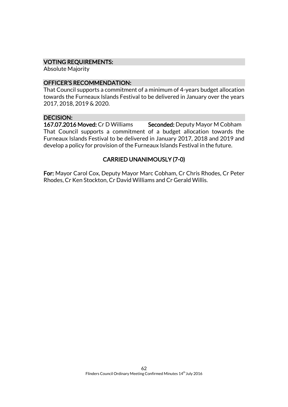#### VOTING REQUIREMENTS:

Absolute Majority

### OFFICER'S RECOMMENDATION:

That Council supports a commitment of a minimum of 4-years budget allocation towards the Furneaux Islands Festival to be delivered in January over the years 2017, 2018, 2019 & 2020.

### DECISION:

167.07.2016 Moved: Cr D Williams Seconded: Deputy Mayor M Cobham That Council supports a commitment of a budget allocation towards the Furneaux Islands Festival to be delivered in January 2017, 2018 and 2019 and develop a policy for provision of the Furneaux Islands Festival in the future.

# CARRIED UNANIMOUSLY (7-0)

For: Mayor Carol Cox, Deputy Mayor Marc Cobham, Cr Chris Rhodes, Cr Peter Rhodes, Cr Ken Stockton, Cr David Williams and Cr Gerald Willis.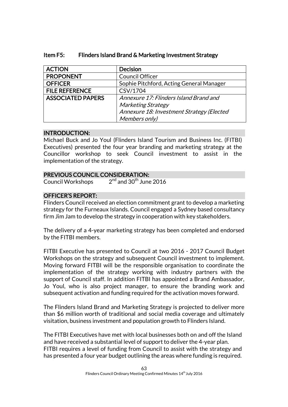| <b>ACTION</b>            | <b>Decision</b>                           |
|--------------------------|-------------------------------------------|
| <b>PROPONENT</b>         | <b>Council Officer</b>                    |
| <b>OFFICER</b>           | Sophie Pitchford, Acting General Manager  |
| <b>FILE REFERENCE</b>    | CSV/1704                                  |
| <b>ASSOCIATED PAPERS</b> | Annexure 17: Flinders Island Brand and    |
|                          | <b>Marketing Strategy</b>                 |
|                          | Annexure 18: Investment Strategy (Elected |
|                          | Members only)                             |

### Item F5: Flinders Island Brand & Marketing Investment Strategy

### INTRODUCTION:

Michael Buck and Jo Youl (Flinders Island Tourism and Business Inc. (FITBI) Executives) presented the four year branding and marketing strategy at the Councillor workshop to seek Council investment to assist in the implementation of the strategy.

### PREVIOUS COUNCIL CONSIDERATION:

Council Workshops 2  $2<sup>nd</sup>$  and 30<sup>th</sup> June 2016

# OFFICER'S REPORT:

Flinders Council received an election commitment grant to develop a marketing strategy for the Furneaux Islands. Council engaged a Sydney based consultancy firm Jim Jam to develop the strategy in cooperation with key stakeholders.

The delivery of a 4-year marketing strategy has been completed and endorsed by the FITBI members.

FITBI Executive has presented to Council at two 2016 - 2017 Council Budget Workshops on the strategy and subsequent Council investment to implement. Moving forward FITBI will be the responsible organisation to coordinate the implementation of the strategy working with industry partners with the support of Council staff. In addition FITBI has appointed a Brand Ambassador, Jo Youl, who is also project manager, to ensure the branding work and subsequent activation and funding required for the activation moves forward.

The Flinders Island Brand and Marketing Strategy is projected to deliver more than \$6 million worth of traditional and social media coverage and ultimately visitation, business investment and population growth to Flinders Island.

The FITBI Executives have met with local businesses both on and off the Island and have received a substantial level of support to deliver the 4-year plan. FITBI requires a level of funding from Council to assist with the strategy and has presented a four year budget outlining the areas where funding is required.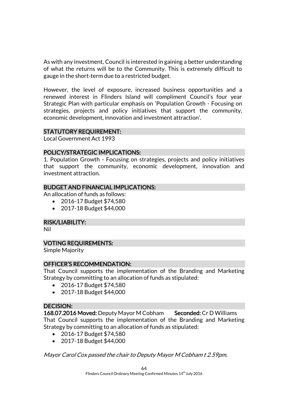As with any investment, Council is interested in gaining a better understanding of what the returns will be to the Community. This is extremely difficult to gauge in the short-term due to a restricted budget.

However, the level of exposure, increased business opportunities and a renewed interest in Flinders Island will compliment Council's four year Strategic Plan with particular emphasis on 'Population Growth - Focusing on strategies, projects and policy initiatives that support the community, economic development, innovation and investment attraction'.

### STATUTORY REQUIREMENT:

Local Government Act 1993

### POLICY/STRATEGIC IMPLICATIONS:

1. Population Growth - Focusing on strategies, projects and policy initiatives that support the community, economic development, innovation and investment attraction.

### BUDGET AND FINANCIAL IMPLICATIONS:

An allocation of funds as follows:

- 2016-17 Budget \$74,580
- 2017-18 Budget \$44,000

### RISK/LIABILITY:

Nil

### VOTING REQUIREMENTS:

Simple Majority

### OFFICER'S RECOMMENDATION:

That Council supports the implementation of the Branding and Marketing Strategy by committing to an allocation of funds as stipulated:

- 2016-17 Budget \$74,580
- 2017-18 Budget \$44,000

### DECISION:

168.07.2016 Moved: Deputy Mayor M Cobham Seconded: Cr D Williams That Council supports the implementation of the Branding and Marketing Strategy by committing to an allocation of funds as stipulated:

- 2016-17 Budget \$74,580
- 2017-18 Budget \$44,000

Mayor Carol Cox passed the chair to Deputy Mayor M Cobham t 2.59pm.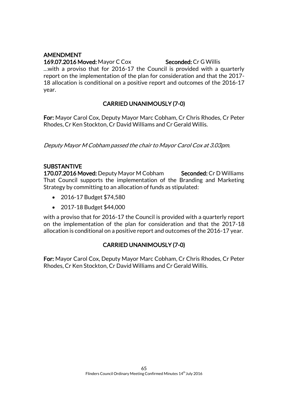# AMENDMENT

#### 169.07.2016 Moved: Mayor C Cox Seconded: Cr G Willis

…with a proviso that for 2016-17 the Council is provided with a quarterly report on the implementation of the plan for consideration and that the 2017- 18 allocation is conditional on a positive report and outcomes of the 2016-17 year.

# CARRIED UNANIMOUSLY (7-0)

For: Mayor Carol Cox, Deputy Mayor Marc Cobham, Cr Chris Rhodes, Cr Peter Rhodes, Cr Ken Stockton, Cr David Williams and Cr Gerald Willis.

Deputy Mayor M Cobham passed the chair to Mayor Carol Cox at 3.03pm.

### SUBSTANTIVE

170.07.2016 Moved: Deputy Mayor M Cobham Seconded: Cr D Williams That Council supports the implementation of the Branding and Marketing Strategy by committing to an allocation of funds as stipulated:

- 2016-17 Budget \$74,580
- 2017-18 Budget \$44,000

with a proviso that for 2016-17 the Council is provided with a quarterly report on the implementation of the plan for consideration and that the 2017-18 allocation is conditional on a positive report and outcomes of the 2016-17 year.

# CARRIED UNANIMOUSLY (7-0)

For: Mayor Carol Cox, Deputy Mayor Marc Cobham, Cr Chris Rhodes, Cr Peter Rhodes, Cr Ken Stockton, Cr David Williams and Cr Gerald Willis.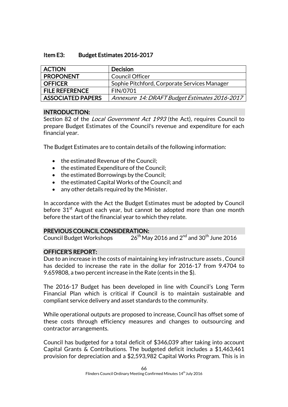### Item E3: Budget Estimates 2016-2017

| <b>ACTION</b>            | <b>Decision</b>                               |
|--------------------------|-----------------------------------------------|
| <b>PROPONENT</b>         | <b>Council Officer</b>                        |
| <b>OFFICER</b>           | Sophie Pitchford, Corporate Services Manager  |
| <b>FILE REFERENCE</b>    | FIN/0701                                      |
| <b>ASSOCIATED PAPERS</b> | Annexure 14: DRAFT Budget Estimates 2016-2017 |

### INTRODUCTION:

Section 82 of the *Local Government Act 1993* (the Act), requires Council to prepare Budget Estimates of the Council's revenue and expenditure for each financial year.

The Budget Estimates are to contain details of the following information:

- the estimated Revenue of the Council;
- the estimated Expenditure of the Council:
- the estimated Borrowings by the Council;
- the estimated Capital Works of the Council; and
- any other details required by the Minister.

In accordance with the Act the Budget Estimates must be adopted by Council before  $31<sup>st</sup>$  August each year, but cannot be adopted more than one month before the start of the financial year to which they relate.

### PREVIOUS COUNCIL CONSIDERATION:

Council Budget Workshops  $26^{\text{th}}$  May 2016 and  $2^{\text{nd}}$  and  $30^{\text{th}}$  June 2016

# OFFICER'S REPORT:

Due to an increase in the costs of maintaining key infrastructure assets , Council has decided to increase the rate in the dollar for 2016-17 from 9.4704 to 9.659808, a two percent increase in the Rate (cents in the \$).

The 2016-17 Budget has been developed in line with Council's Long Term Financial Plan which is critical if Council is to maintain sustainable and compliant service delivery and asset standards to the community.

While operational outputs are proposed to increase, Council has offset some of these costs through efficiency measures and changes to outsourcing and contractor arrangements.

Council has budgeted for a total deficit of \$346,039 after taking into account Capital Grants & Contributions. The budgeted deficit includes a \$1,463,461 provision for depreciation and a \$2,593,982 Capital Works Program. This is in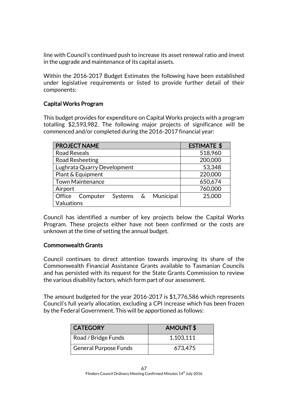line with Council's continued push to increase its asset renewal ratio and invest in the upgrade and maintenance of its capital assets.

Within the 2016-2017 Budget Estimates the following have been established under legislative requirements or listed to provide further detail of their components:

### Capital Works Program

This budget provides for expenditure on Capital Works projects with a program totalling \$2,593,982. The following major projects of significance will be commenced and/or completed during the 2016-2017 financial year:

| <b>PROJECT NAME</b>                    | <b>ESTIMATE \$</b> |
|----------------------------------------|--------------------|
| <b>Road Reseals</b>                    | 518,960            |
| Road Resheeting                        | 200,000            |
| Lughrata Quarry Development            | 53,348             |
| Plant & Equipment                      | 220,000            |
| <b>Town Maintenance</b>                | 650,674            |
| Airport                                | 760,000            |
| Systems & Municipal<br>Office Computer | 25,000             |
| Valuations                             |                    |

Council has identified a number of key projects below the Capital Works Program. These projects either have not been confirmed or the costs are unknown at the time of setting the annual budget.

### Commonwealth Grants

Council continues to direct attention towards improving its share of the Commonwealth Financial Assistance Grants available to Tasmanian Councils and has persisted with its request for the State Grants Commission to review the various disability factors, which form part of our assessment.

The amount budgeted for the year 2016-2017 is \$1,776,586 which represents Council's full yearly allocation, excluding a CPI increase which has been frozen by the Federal Government. This will be apportioned as follows:

| <b>CATEGORY</b>              | AMOUNT\$  |  |
|------------------------------|-----------|--|
| Road / Bridge Funds          | 1,103,111 |  |
| <b>General Purpose Funds</b> | 673,475   |  |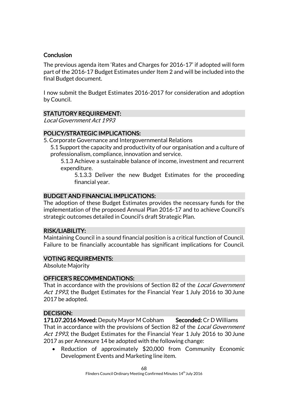### **Conclusion**

The previous agenda item 'Rates and Charges for 2016-17' if adopted will form part of the 2016-17 Budget Estimates under Item 2 and will be included into the final Budget document.

I now submit the Budget Estimates 2016-2017 for consideration and adoption by Council.

# STATUTORY REQUIREMENT:

Local Government Act 1993

# POLICY/STRATEGIC IMPLICATIONS:

5. Corporate Governance and Intergovernmental Relations

5.1 Support the capacity and productivity of our organisation and a culture of professionalism, compliance, innovation and service.

5.1.3 Achieve a sustainable balance of income, investment and recurrent expenditure.

5.1.3.3 Deliver the new Budget Estimates for the proceeding financial year.

### BUDGET AND FINANCIAL IMPLICATIONS:

The adoption of these Budget Estimates provides the necessary funds for the implementation of the proposed Annual Plan 2016-17 and to achieve Council's strategic outcomes detailed in Council's draft Strategic Plan.

### RISK/LIABILITY:

Maintaining Council in a sound financial position is a critical function of Council. Failure to be financially accountable has significant implications for Council.

### VOTING REQUIREMENTS:

Absolute Majority

### OFFICER'S RECOMMENDATIONS:

That in accordance with the provisions of Section 82 of the *Local Government* Act 1993, the Budget Estimates for the Financial Year 1 July 2016 to 30 June 2017 be adopted.

### DECISION:

171.07.2016 Moved: Deputy Mayor M Cobham Seconded: Cr D Williams That in accordance with the provisions of Section 82 of the *Local Government* Act 1993, the Budget Estimates for the Financial Year 1 July 2016 to 30 June 2017 as per Annexure 14 be adopted with the following change:

• Reduction of approximately \$20,000 from Community Economic Development Events and Marketing line item.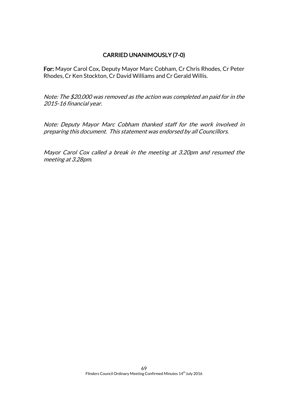# CARRIED UNANIMOUSLY (7-0)

For: Mayor Carol Cox, Deputy Mayor Marc Cobham, Cr Chris Rhodes, Cr Peter Rhodes, Cr Ken Stockton, Cr David Williams and Cr Gerald Willis.

Note: The \$20,000 was removed as the action was completed an paid for in the 2015-16 financial year.

Note: Deputy Mayor Marc Cobham thanked staff for the work involved in preparing this document. This statement was endorsed by all Councillors.

Mayor Carol Cox called a break in the meeting at 3.20pm and resumed the meeting at 3.28pm.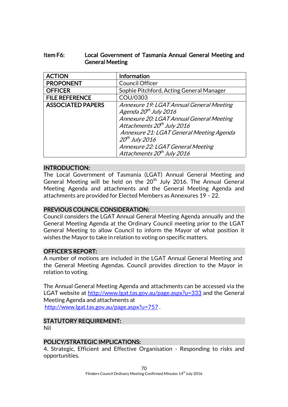### Item F6: Local Government of Tasmania Annual General Meeting and General Meeting

| <b>ACTION</b>            | <b>Information</b>                                                                                                                                                                                                                                                                                                 |
|--------------------------|--------------------------------------------------------------------------------------------------------------------------------------------------------------------------------------------------------------------------------------------------------------------------------------------------------------------|
| <b>PROPONENT</b>         | <b>Council Officer</b>                                                                                                                                                                                                                                                                                             |
| <b>OFFICER</b>           | Sophie Pitchford, Acting General Manager                                                                                                                                                                                                                                                                           |
| <b>FILE REFERENCE</b>    | COU/0303                                                                                                                                                                                                                                                                                                           |
| <b>ASSOCIATED PAPERS</b> | Annexure 19: LGAT Annual General Meeting<br>Agenda 20 <sup>th</sup> July 2016<br>Annexure 20: LGAT Annual General Meeting<br>Attachments 20 <sup>th</sup> July 2016<br>Annexure 21: LGAT General Meeting Agenda<br>$20th$ July 2016<br>Annexure 22: LGAT General Meeting<br>Attachments 20 <sup>th</sup> July 2016 |

### INTRODUCTION:

The Local Government of Tasmania (LGAT) Annual General Meeting and General Meeting will be held on the 20<sup>th</sup> July 2016. The Annual General Meeting Agenda and attachments and the General Meeting Agenda and attachments are provided for Elected Members as Annexures 19 – 22.

### PREVIOUS COUNCIL CONSIDERATION:

Council considers the LGAT Annual General Meeting Agenda annually and the General Meeting Agenda at the Ordinary Council meeting prior to the LGAT General Meeting to allow Council to inform the Mayor of what position it wishes the Mayor to take in relation to voting on specific matters.

### OFFICER'S REPORT:

A number of motions are included in the LGAT Annual General Meeting and the General Meeting Agendas. Council provides direction to the Mayor in relation to voting.

The Annual General Meeting Agenda and attachments can be accessed via the LGAT website at<http://www.lgat.tas.gov.au/page.aspx?u=333> and the General Meeting Agenda and attachments at <http://www.lgat.tas.gov.au/page.aspx?u=757> .

# STATUTORY REQUIREMENT:

Nil

### POLICY/STRATEGIC IMPLICATIONS:

4. Strategic, Efficient and Effective Organisation - Responding to risks and opportunities.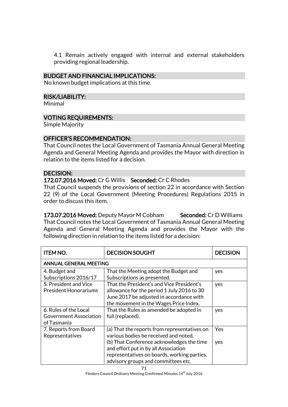4.1 Remain actively engaged with internal and external stakeholders providing regional leadership.

### BUDGET AND FINANCIAL IMPLICATIONS:

No known budget implications at this time.

#### RISK/LIABILITY:

Minimal

### VOTING REQUIREMENTS:

Simple Majority

#### OFFICER'S RECOMMENDATION:

That Council notes the Local Government of Tasmania Annual General Meeting Agenda and General Meeting Agenda and provides the Mayor with direction in relation to the items listed for a decision.

### DECISION:

172.07.2016 Moved: Cr G Willis Seconded: Cr C Rhodes That Council suspends the provisions of section 22 in accordance with Section 22 (9) of the Local Government (Meeting Procedures) Regulations 2015 in order to discuss this item.

173.07.2016 Moved: Deputy Mayor M Cobham Seconded: Cr D Williams That Council notes the Local Government of Tasmania Annual General Meeting Agenda and General Meeting Agenda and provides the Mayor with the following direction in relation to the items listed for a decision:

| <b>ITEM NO.</b>               | <b>DECISION SOUGHT</b>                       | <b>DECISION</b> |  |  |
|-------------------------------|----------------------------------------------|-----------------|--|--|
| <b>ANNUAL GENERAL MEETING</b> |                                              |                 |  |  |
| 4. Budget and                 | That the Meeting adopt the Budget and        | yes             |  |  |
| Subscriptions 2016/17         | Subscriptions as presented.                  |                 |  |  |
| 5. President and Vice         | That the President's and Vice President's    | yes             |  |  |
| <b>President Honorariums</b>  | allowance for the period 1 July 2016 to 30   |                 |  |  |
|                               | June 2017 be adjusted in accordance with     |                 |  |  |
|                               | the movement in the Wages Price Index.       |                 |  |  |
| 6. Rules of the Local         | That the Rules as amended be adopted in      | yes             |  |  |
| <b>Government Association</b> | full (replaced).                             |                 |  |  |
| of Tasmania                   |                                              |                 |  |  |
| 7. Reports from Board         | (a) That the reports from representatives on | Yes             |  |  |
| Representatives               | various bodies be received and noted.        |                 |  |  |
|                               | (b) That Conference acknowledges the time    | yes             |  |  |
|                               | and effort put in by all Association         |                 |  |  |
|                               | representatives on boards, working parties,  |                 |  |  |
|                               | advisory groups and committees etc.          |                 |  |  |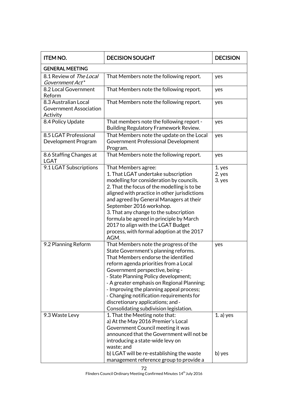| <b>ITEM NO.</b>                                                   | <b>DECISION SOUGHT</b>                                                                                                                                                                                                                                                                                                                                                                                                                                                                                                                                                                                                  | <b>DECISION</b>            |  |  |
|-------------------------------------------------------------------|-------------------------------------------------------------------------------------------------------------------------------------------------------------------------------------------------------------------------------------------------------------------------------------------------------------------------------------------------------------------------------------------------------------------------------------------------------------------------------------------------------------------------------------------------------------------------------------------------------------------------|----------------------------|--|--|
| <b>GENERAL MEETING</b>                                            |                                                                                                                                                                                                                                                                                                                                                                                                                                                                                                                                                                                                                         |                            |  |  |
| 8.1 Review of The Local<br>Government Act*                        | That Members note the following report.                                                                                                                                                                                                                                                                                                                                                                                                                                                                                                                                                                                 | yes                        |  |  |
| 8.2 Local Government<br>Reform                                    | That Members note the following report.                                                                                                                                                                                                                                                                                                                                                                                                                                                                                                                                                                                 | yes                        |  |  |
| 8.3 Australian Local<br><b>Government Association</b><br>Activity | That Members note the following report.                                                                                                                                                                                                                                                                                                                                                                                                                                                                                                                                                                                 | yes                        |  |  |
| 8.4 Policy Update                                                 | That members note the following report -<br>Building Regulatory Framework Review.                                                                                                                                                                                                                                                                                                                                                                                                                                                                                                                                       | yes                        |  |  |
| 8.5 LGAT Professional<br>Development Program                      | That Members note the update on the Local<br><b>Government Professional Development</b><br>Program.                                                                                                                                                                                                                                                                                                                                                                                                                                                                                                                     | yes                        |  |  |
| 8.6 Staffing Changes at<br><b>LGAT</b>                            | That Members note the following report.                                                                                                                                                                                                                                                                                                                                                                                                                                                                                                                                                                                 | yes                        |  |  |
| 9.1 LGAT Subscriptions                                            | That Members agree:<br>1. That LGAT undertake subscription<br>modelling for consideration by councils.<br>2. That the focus of the modelling is to be<br>aligned with practice in other jurisdictions<br>and agreed by General Managers at their<br>September 2016 workshop.<br>3. That any change to the subscription<br>formula be agreed in principle by March<br>2017 to align with the LGAT Budget<br>process, with formal adoption at the 2017<br>AGM.                                                                                                                                                            | 1. yes<br>2. yes<br>3. yes |  |  |
| 9.2 Planning Reform<br>9.3 Waste Levy                             | That Members note the progress of the<br>State Government's planning reforms.<br>That Members endorse the identified<br>reform agenda priorities from a Local<br>Government perspective, being -<br>- State Planning Policy development;<br>- A greater emphasis on Regional Planning;<br>- Improving the planning appeal process;<br>- Changing notification requirements for<br>discretionary applications; and -<br>Consolidating subdivision legislation.<br>1. That the Meeting note that:<br>a) At the May 2016 Premier's Local<br>Government Council meeting it was<br>announced that the Government will not be | yes<br>$1. a)$ yes         |  |  |
|                                                                   | introducing a state-wide levy on<br>waste; and<br>b) LGAT will be re-establishing the waste<br>management reference group to provide a                                                                                                                                                                                                                                                                                                                                                                                                                                                                                  | b) yes                     |  |  |

Flinders Council Ordinary Meeting Confirmed Minutes 14<sup>th</sup> July 2016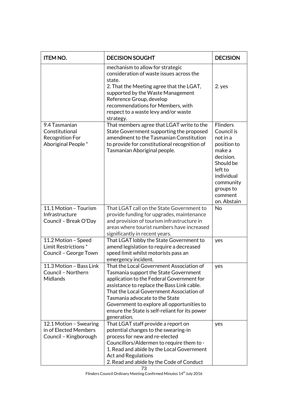| <b>ITEM NO.</b>                                                                 | <b>DECISION SOUGHT</b>                                                                                                                                                                                                                                                                                                                                                    | <b>DECISION</b>                                                                                                                                                           |
|---------------------------------------------------------------------------------|---------------------------------------------------------------------------------------------------------------------------------------------------------------------------------------------------------------------------------------------------------------------------------------------------------------------------------------------------------------------------|---------------------------------------------------------------------------------------------------------------------------------------------------------------------------|
|                                                                                 | mechanism to allow for strategic<br>consideration of waste issues across the<br>state.<br>2. That the Meeting agree that the LGAT,<br>supported by the Waste Management<br>Reference Group, develop<br>recommendations for Members, with<br>respect to a waste levy and/or waste<br>strategy.                                                                             | 2. yes                                                                                                                                                                    |
| 9.4 Tasmanian<br>Constitutional<br><b>Recognition For</b><br>Aboriginal People* | That members agree that LGAT write to the<br>State Government supporting the proposed<br>amendment to the Tasmanian Constitution<br>to provide for constitutional recognition of<br>Tasmanian Aboriginal people.                                                                                                                                                          | <b>Flinders</b><br>Council is<br>not in a<br>position to<br>make a<br>decision.<br>Should be<br>left to<br>individual<br>community<br>groups to<br>comment<br>on. Abstain |
| 11.1 Motion - Tourism<br>Infrastructure<br>Council - Break O'Day                | That LGAT call on the State Government to<br>provide funding for upgrades, maintenance<br>and provision of tourism infrastructure in<br>areas where tourist numbers have increased<br>significantly in recent years.                                                                                                                                                      | No                                                                                                                                                                        |
| 11.2 Motion - Speed<br>Limit Restrictions*<br>Council - George Town             | That LGAT lobby the State Government to<br>amend legislation to require a decreased<br>speed limit whilst motorists pass an<br>emergency incident.                                                                                                                                                                                                                        | yes                                                                                                                                                                       |
| 11.3 Motion - Bass Link<br>Council - Northern<br><b>Midlands</b>                | That the Local Government Association of<br>Tasmania support the State Government<br>application to the Federal Government for<br>assistance to replace the Bass Link cable.<br>That the Local Government Association of<br>Tasmania advocate to the State<br>Government to explore all opportunities to<br>ensure the State is self-reliant for its power<br>generation. | yes                                                                                                                                                                       |
| 12.1 Motion - Swearing<br>in of Elected Members<br>Council - Kingborough        | That LGAT staff provide a report on<br>potential changes to the swearing-in<br>process for new and re-elected<br>Councillors/Aldermen to require them to -<br>1. Read and abide by the Local Government<br><b>Act and Regulations</b><br>2. Read and abide by the Code of Conduct                                                                                         | yes                                                                                                                                                                       |

Flinders Council Ordinary Meeting Confirmed Minutes 14<sup>th</sup> July 2016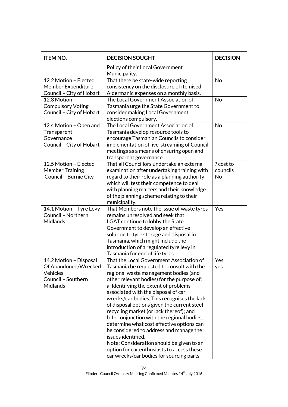| <b>ITEM NO.</b>                                                                                     | <b>DECISION SOUGHT</b>                                                                                                                                                                                                                                                                                                                                                                                                                                                                                                                                                                                                                                                                                    | <b>DECISION</b>                    |
|-----------------------------------------------------------------------------------------------------|-----------------------------------------------------------------------------------------------------------------------------------------------------------------------------------------------------------------------------------------------------------------------------------------------------------------------------------------------------------------------------------------------------------------------------------------------------------------------------------------------------------------------------------------------------------------------------------------------------------------------------------------------------------------------------------------------------------|------------------------------------|
|                                                                                                     | Policy of their Local Government<br>Municipality.                                                                                                                                                                                                                                                                                                                                                                                                                                                                                                                                                                                                                                                         |                                    |
| 12.2 Motion - Elected<br>Member Expenditure<br>Council - City of Hobart                             | That there be state-wide reporting<br>consistency on the disclosure of itemised<br>Aldermanic expenses on a monthly basis.                                                                                                                                                                                                                                                                                                                                                                                                                                                                                                                                                                                | No                                 |
| 12.3 Motion -<br><b>Compulsory Voting</b><br>Council - City of Hobart                               | The Local Government Association of<br>Tasmania urge the State Government to<br>consider making Local Government<br>elections compulsory.                                                                                                                                                                                                                                                                                                                                                                                                                                                                                                                                                                 | No                                 |
| 12.4 Motion - Open and<br>Transparent<br>Governance<br>Council - City of Hobart                     | The Local Government Association of<br>Tasmania develop resource tools to<br>encourage Tasmanian Councils to consider<br>implementation of live-streaming of Council<br>meetings as a means of ensuring open and<br>transparent governance.                                                                                                                                                                                                                                                                                                                                                                                                                                                               | No                                 |
| 12.5 Motion - Elected<br><b>Member Training</b><br>Council - Burnie City                            | That all Councillors undertake an external<br>examination after undertaking training with<br>regard to their role as a planning authority,<br>which will test their competence to deal<br>with planning matters and their knowledge<br>of the planning scheme relating to their<br>municipality.                                                                                                                                                                                                                                                                                                                                                                                                          | ? cost to<br>councils<br><b>No</b> |
| 14.1 Motion - Tyre Levy<br>Council - Northern<br>Midlands                                           | That Members note the issue of waste tyres<br>remains unresolved and seek that<br>LGAT continue to lobby the State<br>Government to develop an effective<br>solution to tyre storage and disposal in<br>Tasmania, which might include the<br>introduction of a regulated tyre levy in<br>Tasmania for end of life tyres.                                                                                                                                                                                                                                                                                                                                                                                  | Yes                                |
| 14.2 Motion - Disposal<br>Of Abandoned/Wrecked<br>Vehicles<br>Council - Southern<br><b>Midlands</b> | That the Local Government Association of<br>Tasmania be requested to consult with the<br>regional waste management bodies (and<br>other relevant bodies) for the purpose of:<br>a. Identifying the extent of problems<br>associated with the disposal of car<br>wrecks/car bodies. This recognises the lack<br>of disposal options given the current steel<br>recycling market (or lack thereof); and<br>b. In conjunction with the regional bodies,<br>determine what cost effective options can<br>be considered to address and manage the<br>issues identified.<br>Note: Consideration should be given to an<br>option for car enthusiasts to access these<br>car wrecks/car bodies for sourcing parts | Yes<br>yes                         |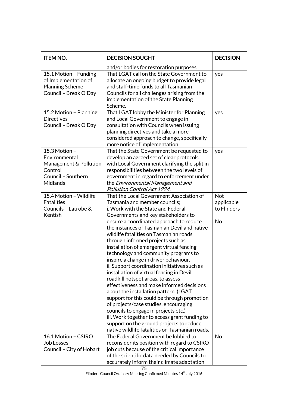| <b>ITEM NO.</b>                                                                                       | <b>DECISION SOUGHT</b>                                                                                                                                                                                                                                                                                                                                                                                                                                                                                                                                                                                                                                                                                                                                                                                                                                                                                                                                             | <b>DECISION</b>                        |
|-------------------------------------------------------------------------------------------------------|--------------------------------------------------------------------------------------------------------------------------------------------------------------------------------------------------------------------------------------------------------------------------------------------------------------------------------------------------------------------------------------------------------------------------------------------------------------------------------------------------------------------------------------------------------------------------------------------------------------------------------------------------------------------------------------------------------------------------------------------------------------------------------------------------------------------------------------------------------------------------------------------------------------------------------------------------------------------|----------------------------------------|
| 15.1 Motion - Funding<br>of Implementation of<br><b>Planning Scheme</b><br>Council - Break O'Day      | and/or bodies for restoration purposes.<br>That LGAT call on the State Government to<br>allocate an ongoing budget to provide legal<br>and staff-time funds to all Tasmanian<br>Councils for all challenges arising from the<br>implementation of the State Planning<br>Scheme.                                                                                                                                                                                                                                                                                                                                                                                                                                                                                                                                                                                                                                                                                    | yes                                    |
| 15.2 Motion - Planning<br><b>Directives</b><br>Council - Break O'Day                                  | That LGAT lobby the Minister for Planning<br>and Local Government to engage in<br>consultation with Councils when issuing<br>planning directives and take a more<br>considered approach to change, specifically<br>more notice of implementation.                                                                                                                                                                                                                                                                                                                                                                                                                                                                                                                                                                                                                                                                                                                  | yes                                    |
| 15.3 Motion -<br>Environmental<br>Management & Pollution<br>Control<br>Council - Southern<br>Midlands | That the State Government be requested to<br>develop an agreed set of clear protocols<br>with Local Government clarifying the split in<br>responsibilities between the two levels of<br>government in regard to enforcement under<br>the Environmental Management and<br>Pollution Control Act 1994.                                                                                                                                                                                                                                                                                                                                                                                                                                                                                                                                                                                                                                                               | yes                                    |
| 15.4 Motion - Wildlife<br><b>Fatalities</b><br>Councils - Latrobe &<br>Kentish                        | That the Local Government Association of<br>Tasmania and member councils;<br>i. Work with the State and Federal<br>Governments and key stakeholders to<br>ensure a coordinated approach to reduce<br>the instances of Tasmanian Devil and native<br>wildlife fatalities on Tasmanian roads<br>through informed projects such as<br>installation of emergent virtual fencing<br>technology and community programs to<br>inspire a change in driver behaviour.<br>ii. Support coordination initiatives such as<br>installation of virtual fencing in Devil<br>roadkill hotspot areas, to assess<br>effectiveness and make informed decisions<br>about the installation pattern. (LGAT<br>support for this could be through promotion<br>of projects/case studies, encouraging<br>councils to engage in projects etc.)<br>iii. Work together to access grant funding to<br>support on the ground projects to reduce<br>native wildlife fatalities on Tasmanian roads. | Not<br>applicable<br>to Flinders<br>No |
| 16.1 Motion - CSIRO<br><b>Job Losses</b><br>Council - City of Hobart                                  | The Federal Government be lobbied to<br>reconsider its position with regard to CSIRO<br>job cuts because of the critical importance<br>of the scientific data needed by Councils to<br>accurately inform their climate adaptation                                                                                                                                                                                                                                                                                                                                                                                                                                                                                                                                                                                                                                                                                                                                  | <b>No</b>                              |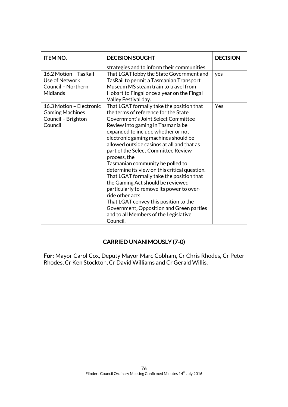| <b>ITEM NO.</b>                                                                     | <b>DECISION SOUGHT</b>                                                                                                                                                                                                                                                                                                                                                                                                                                                                                                                                                                                                                                                                                                             | <b>DECISION</b> |
|-------------------------------------------------------------------------------------|------------------------------------------------------------------------------------------------------------------------------------------------------------------------------------------------------------------------------------------------------------------------------------------------------------------------------------------------------------------------------------------------------------------------------------------------------------------------------------------------------------------------------------------------------------------------------------------------------------------------------------------------------------------------------------------------------------------------------------|-----------------|
|                                                                                     | strategies and to inform their communities.                                                                                                                                                                                                                                                                                                                                                                                                                                                                                                                                                                                                                                                                                        |                 |
| 16.2 Motion - TasRail -<br>Use of Network<br>Council - Northern<br><b>Midlands</b>  | That LGAT lobby the State Government and<br>TasRail to permit a Tasmanian Transport<br>Museum MS steam train to travel from<br>Hobart to Fingal once a year on the Fingal<br>Valley Festival day.                                                                                                                                                                                                                                                                                                                                                                                                                                                                                                                                  | yes             |
| 16.3 Motion - Electronic<br><b>Gaming Machines</b><br>Council - Brighton<br>Council | That LGAT formally take the position that<br>the terms of reference for the State<br>Government's Joint Select Committee<br>Review into gaming in Tasmania be<br>expanded to include whether or not<br>electronic gaming machines should be<br>allowed outside casinos at all and that as<br>part of the Select Committee Review<br>process, the<br>Tasmanian community be polled to<br>determine its view on this critical question.<br>That LGAT formally take the position that<br>the Gaming Act should be reviewed<br>particularly to remove its power to over-<br>ride other acts.<br>That LGAT convey this position to the<br>Government, Opposition and Green parties<br>and to all Members of the Legislative<br>Council. | Yes             |

# CARRIED UNANIMOUSLY (7-0)

For: Mayor Carol Cox, Deputy Mayor Marc Cobham, Cr Chris Rhodes, Cr Peter Rhodes, Cr Ken Stockton, Cr David Williams and Cr Gerald Willis.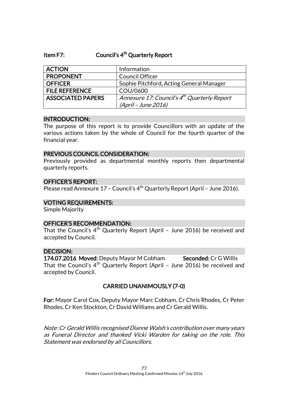# Item F7: Council's 4<sup>th</sup> Quarterly Report

| <b>ACTION</b>            | Information                                             |
|--------------------------|---------------------------------------------------------|
| <b>PROPONENT</b>         | <b>Council Officer</b>                                  |
| <b>OFFICER</b>           | Sophie Pitchford, Acting General Manager                |
| <b>FILE REFERENCE</b>    | COU/0600                                                |
| <b>ASSOCIATED PAPERS</b> | Annexure 17: Council's 4 <sup>th</sup> Quarterly Report |
|                          | (April - June 2016)                                     |

#### INTRODUCTION:

The purpose of this report is to provide Councillors with an update of the various actions taken by the whole of Council for the fourth quarter of the financial year.

#### PREVIOUS COUNCIL CONSIDERATION:

Previously provided as departmental monthly reports then departmental quarterly reports.

## OFFICER'S REPORT:

Please read Annexure 17 - Council's  $4<sup>th</sup>$  Quarterly Report (April - June 2016).

### VOTING REQUIREMENTS:

Simple Majority

## OFFICER'S RECOMMENDATION:

That the Council's  $4<sup>th</sup>$  Quarterly Report (April - June 2016) be received and accepted by Council.

## DECISION:

174.07.2016 Moved: Deputy Mayor M Cobham Seconded: Cr G Willis That the Council's  $4<sup>th</sup>$  Quarterly Report (April - June 2016) be received and accepted by Council.

# CARRIED UNANIMOUSLY (7-0)

For: Mayor Carol Cox, Deputy Mayor Marc Cobham, Cr Chris Rhodes, Cr Peter Rhodes, Cr Ken Stockton, Cr David Williams and Cr Gerald Willis.

Note: Cr Gerald Willis recognised Dianne Walsh's contribution over many years as Funeral Director and thanked Vicki Warden for taking on the role. This Statement was endorsed by all Councillors.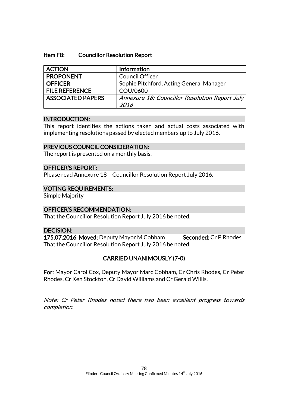### Item F8: Councillor Resolution Report

| <b>ACTION</b>            | <b>Information</b>                             |
|--------------------------|------------------------------------------------|
| <b>PROPONENT</b>         | <b>Council Officer</b>                         |
| <b>OFFICER</b>           | Sophie Pitchford, Acting General Manager       |
| <b>FILE REFERENCE</b>    | COU/0600                                       |
| <b>ASSOCIATED PAPERS</b> | Annexure 18: Councillor Resolution Report July |
|                          | 2016                                           |

#### INTRODUCTION:

This report identifies the actions taken and actual costs associated with implementing resolutions passed by elected members up to July 2016.

## PREVIOUS COUNCIL CONSIDERATION:

The report is presented on a monthly basis.

## OFFICER'S REPORT:

Please read Annexure 18 – Councillor Resolution Report July 2016.

## VOTING REQUIREMENTS:

Simple Majority

## OFFICER'S RECOMMENDATION:

That the Councillor Resolution Report July 2016 be noted.

## DECISION:

175.07.2016 Moved: Deputy Mayor M Cobham Seconded: Cr P Rhodes That the Councillor Resolution Report July 2016 be noted.

# CARRIED UNANIMOUSLY (7-0)

For: Mayor Carol Cox, Deputy Mayor Marc Cobham, Cr Chris Rhodes, Cr Peter Rhodes, Cr Ken Stockton, Cr David Williams and Cr Gerald Willis.

Note: Cr Peter Rhodes noted there had been excellent progress towards completion.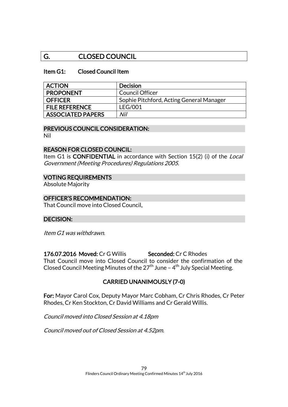# G. CLOSED COUNCIL

# Item G1: Closed Council Item

| <b>ACTION</b>            | <b>Decision</b>                          |
|--------------------------|------------------------------------------|
| <b>PROPONENT</b>         | <b>Council Officer</b>                   |
| <b>OFFICER</b>           | Sophie Pitchford, Acting General Manager |
| <b>FILE REFERENCE</b>    | <b>LEG/001</b>                           |
| <b>ASSOCIATED PAPERS</b> | Nil                                      |

# PREVIOUS COUNCIL CONSIDERATION:

Nil

# REASON FOR CLOSED COUNCIL:

Item G1 is **CONFIDENTIAL** in accordance with Section 15(2) (i) of the *Local* Government (Meeting Procedures) Regulations 2005.

# VOTING REQUIREMENTS

Absolute Majority

# OFFICER'S RECOMMENDATION:

That Council move into Closed Council.

## DECISION:

Item G1 was withdrawn.

176.07.2016 Moved: Cr G Willis Seconded: Cr C Rhodes That Council move into Closed Council to consider the confirmation of the Closed Council Meeting Minutes of the 27<sup>th</sup> June –  $4^{\text{th}}$  July Special Meeting.

# CARRIED UNANIMOUSLY (7-0)

For: Mayor Carol Cox, Deputy Mayor Marc Cobham, Cr Chris Rhodes, Cr Peter Rhodes, Cr Ken Stockton, Cr David Williams and Cr Gerald Willis.

Council moved into Closed Session at 4.18pm

Council moved out of Closed Session at 4.52pm.